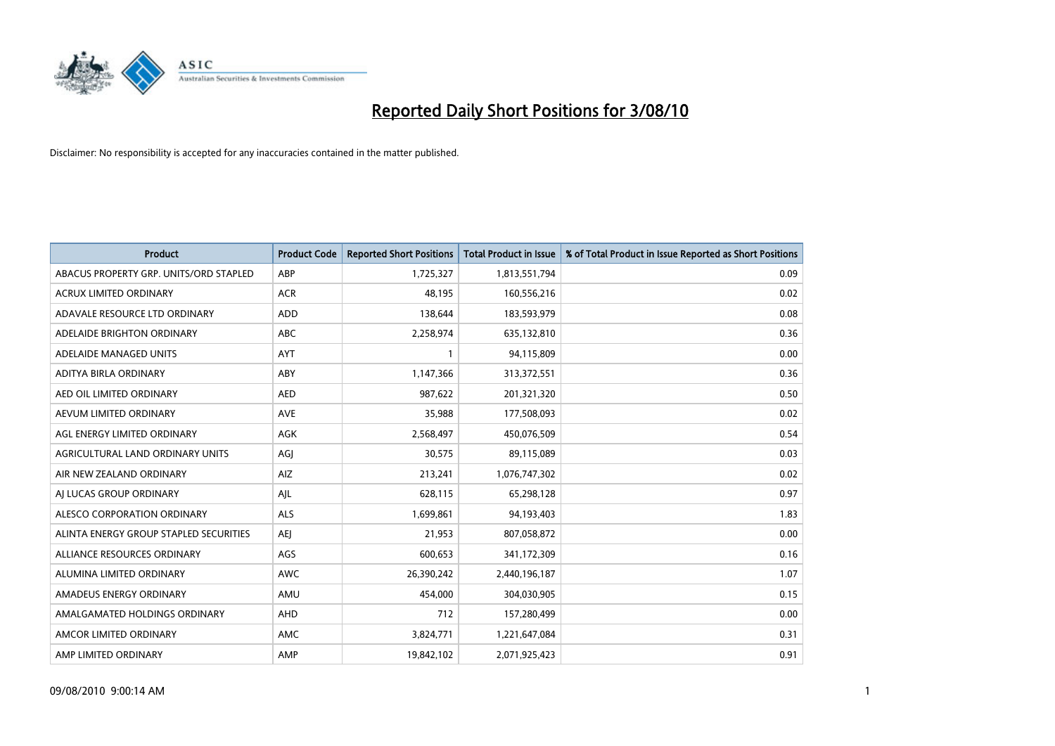

| <b>Product</b>                         | <b>Product Code</b> | <b>Reported Short Positions</b> | Total Product in Issue | % of Total Product in Issue Reported as Short Positions |
|----------------------------------------|---------------------|---------------------------------|------------------------|---------------------------------------------------------|
| ABACUS PROPERTY GRP. UNITS/ORD STAPLED | ABP                 | 1,725,327                       | 1,813,551,794          | 0.09                                                    |
| <b>ACRUX LIMITED ORDINARY</b>          | <b>ACR</b>          | 48.195                          | 160,556,216            | 0.02                                                    |
| ADAVALE RESOURCE LTD ORDINARY          | <b>ADD</b>          | 138,644                         | 183,593,979            | 0.08                                                    |
| ADELAIDE BRIGHTON ORDINARY             | <b>ABC</b>          | 2,258,974                       | 635,132,810            | 0.36                                                    |
| ADELAIDE MANAGED UNITS                 | <b>AYT</b>          |                                 | 94,115,809             | 0.00                                                    |
| ADITYA BIRLA ORDINARY                  | ABY                 | 1,147,366                       | 313,372,551            | 0.36                                                    |
| AED OIL LIMITED ORDINARY               | <b>AED</b>          | 987,622                         | 201,321,320            | 0.50                                                    |
| AEVUM LIMITED ORDINARY                 | <b>AVE</b>          | 35,988                          | 177,508,093            | 0.02                                                    |
| AGL ENERGY LIMITED ORDINARY            | <b>AGK</b>          | 2,568,497                       | 450,076,509            | 0.54                                                    |
| AGRICULTURAL LAND ORDINARY UNITS       | AGI                 | 30,575                          | 89,115,089             | 0.03                                                    |
| AIR NEW ZEALAND ORDINARY               | AIZ                 | 213,241                         | 1,076,747,302          | 0.02                                                    |
| AI LUCAS GROUP ORDINARY                | AJL                 | 628,115                         | 65,298,128             | 0.97                                                    |
| ALESCO CORPORATION ORDINARY            | <b>ALS</b>          | 1,699,861                       | 94,193,403             | 1.83                                                    |
| ALINTA ENERGY GROUP STAPLED SECURITIES | <b>AEI</b>          | 21,953                          | 807,058,872            | 0.00                                                    |
| ALLIANCE RESOURCES ORDINARY            | AGS                 | 600,653                         | 341,172,309            | 0.16                                                    |
| ALUMINA LIMITED ORDINARY               | <b>AWC</b>          | 26,390,242                      | 2,440,196,187          | 1.07                                                    |
| AMADEUS ENERGY ORDINARY                | AMU                 | 454,000                         | 304,030,905            | 0.15                                                    |
| AMALGAMATED HOLDINGS ORDINARY          | AHD                 | 712                             | 157,280,499            | 0.00                                                    |
| AMCOR LIMITED ORDINARY                 | <b>AMC</b>          | 3,824,771                       | 1,221,647,084          | 0.31                                                    |
| AMP LIMITED ORDINARY                   | AMP                 | 19,842,102                      | 2,071,925,423          | 0.91                                                    |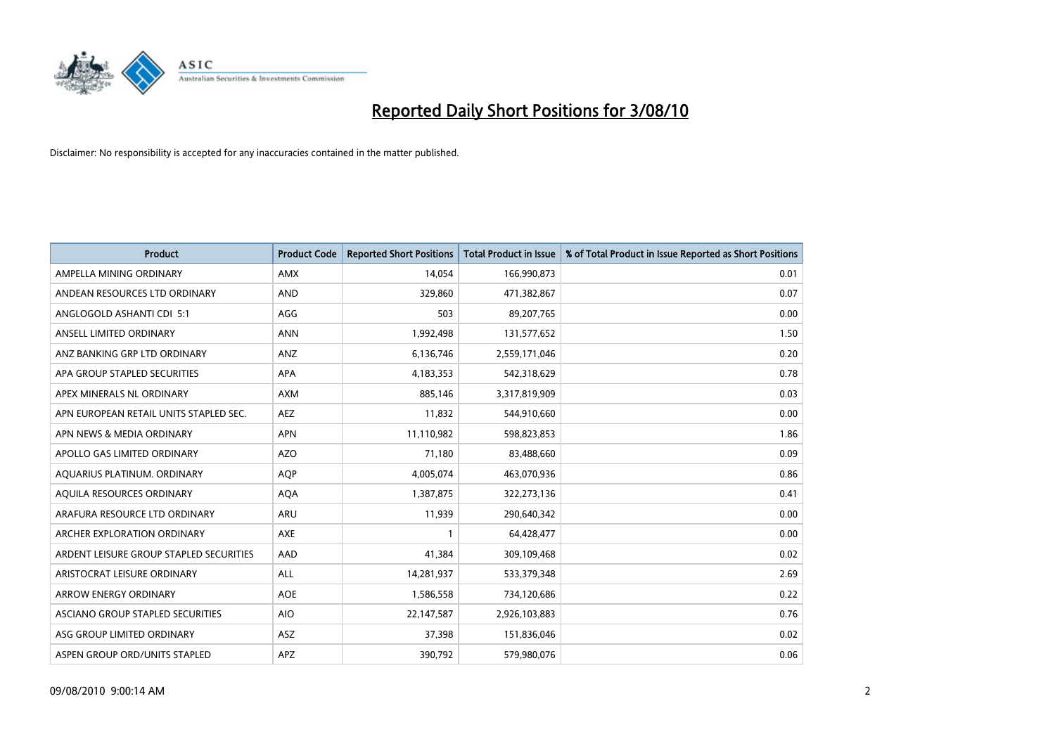

| <b>Product</b>                          | <b>Product Code</b> | <b>Reported Short Positions</b> | Total Product in Issue | % of Total Product in Issue Reported as Short Positions |
|-----------------------------------------|---------------------|---------------------------------|------------------------|---------------------------------------------------------|
| AMPELLA MINING ORDINARY                 | <b>AMX</b>          | 14,054                          | 166,990,873            | 0.01                                                    |
| ANDEAN RESOURCES LTD ORDINARY           | <b>AND</b>          | 329,860                         | 471,382,867            | 0.07                                                    |
| ANGLOGOLD ASHANTI CDI 5:1               | AGG                 | 503                             | 89,207,765             | 0.00                                                    |
| ANSELL LIMITED ORDINARY                 | <b>ANN</b>          | 1,992,498                       | 131,577,652            | 1.50                                                    |
| ANZ BANKING GRP LTD ORDINARY            | ANZ                 | 6,136,746                       | 2,559,171,046          | 0.20                                                    |
| APA GROUP STAPLED SECURITIES            | <b>APA</b>          | 4,183,353                       | 542,318,629            | 0.78                                                    |
| APEX MINERALS NL ORDINARY               | <b>AXM</b>          | 885.146                         | 3,317,819,909          | 0.03                                                    |
| APN EUROPEAN RETAIL UNITS STAPLED SEC.  | AEZ                 | 11,832                          | 544,910,660            | 0.00                                                    |
| APN NEWS & MEDIA ORDINARY               | <b>APN</b>          | 11,110,982                      | 598,823,853            | 1.86                                                    |
| APOLLO GAS LIMITED ORDINARY             | <b>AZO</b>          | 71,180                          | 83,488,660             | 0.09                                                    |
| AQUARIUS PLATINUM. ORDINARY             | <b>AOP</b>          | 4,005,074                       | 463,070,936            | 0.86                                                    |
| AQUILA RESOURCES ORDINARY               | <b>AQA</b>          | 1,387,875                       | 322,273,136            | 0.41                                                    |
| ARAFURA RESOURCE LTD ORDINARY           | <b>ARU</b>          | 11,939                          | 290,640,342            | 0.00                                                    |
| ARCHER EXPLORATION ORDINARY             | <b>AXE</b>          |                                 | 64,428,477             | 0.00                                                    |
| ARDENT LEISURE GROUP STAPLED SECURITIES | AAD                 | 41,384                          | 309,109,468            | 0.02                                                    |
| ARISTOCRAT LEISURE ORDINARY             | ALL                 | 14,281,937                      | 533,379,348            | 2.69                                                    |
| <b>ARROW ENERGY ORDINARY</b>            | <b>AOE</b>          | 1,586,558                       | 734,120,686            | 0.22                                                    |
| ASCIANO GROUP STAPLED SECURITIES        | <b>AIO</b>          | 22,147,587                      | 2,926,103,883          | 0.76                                                    |
| ASG GROUP LIMITED ORDINARY              | <b>ASZ</b>          | 37,398                          | 151,836,046            | 0.02                                                    |
| ASPEN GROUP ORD/UNITS STAPLED           | <b>APZ</b>          | 390.792                         | 579,980,076            | 0.06                                                    |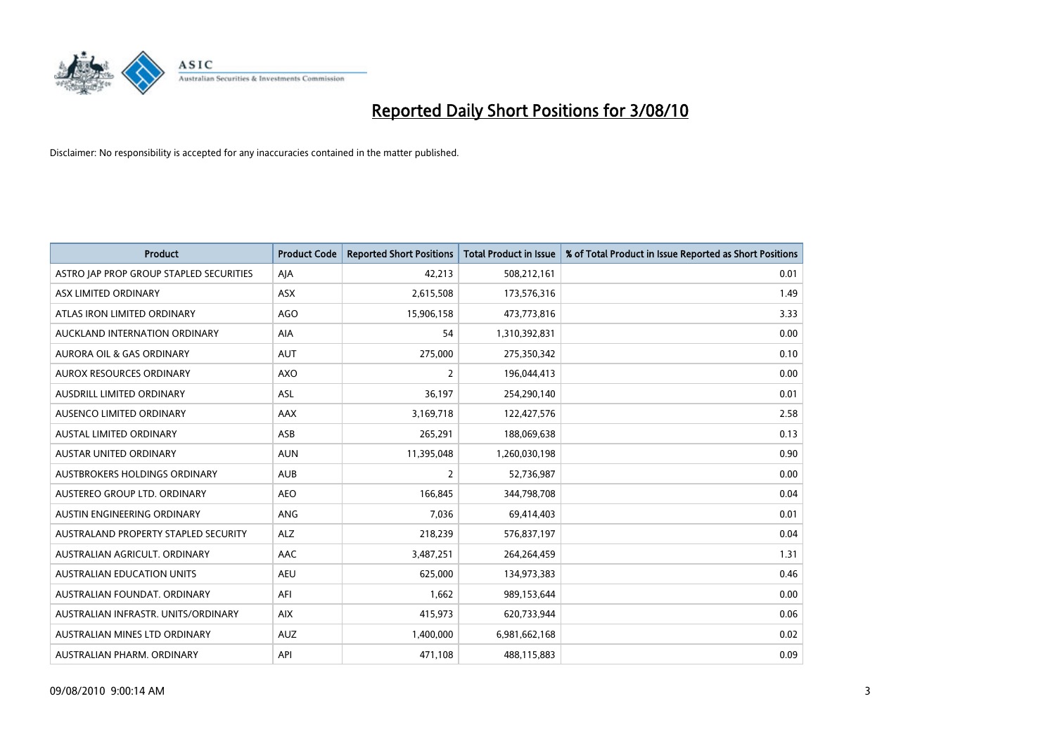

| <b>Product</b>                          | <b>Product Code</b> | <b>Reported Short Positions</b> | <b>Total Product in Issue</b> | % of Total Product in Issue Reported as Short Positions |
|-----------------------------------------|---------------------|---------------------------------|-------------------------------|---------------------------------------------------------|
| ASTRO JAP PROP GROUP STAPLED SECURITIES | AJA                 | 42,213                          | 508,212,161                   | 0.01                                                    |
| ASX LIMITED ORDINARY                    | ASX                 | 2,615,508                       | 173,576,316                   | 1.49                                                    |
| ATLAS IRON LIMITED ORDINARY             | <b>AGO</b>          | 15,906,158                      | 473,773,816                   | 3.33                                                    |
| AUCKLAND INTERNATION ORDINARY           | <b>AIA</b>          | 54                              | 1,310,392,831                 | 0.00                                                    |
| <b>AURORA OIL &amp; GAS ORDINARY</b>    | <b>AUT</b>          | 275,000                         | 275,350,342                   | 0.10                                                    |
| <b>AUROX RESOURCES ORDINARY</b>         | <b>AXO</b>          | $\overline{2}$                  | 196,044,413                   | 0.00                                                    |
| AUSDRILL LIMITED ORDINARY               | <b>ASL</b>          | 36,197                          | 254,290,140                   | 0.01                                                    |
| AUSENCO LIMITED ORDINARY                | <b>AAX</b>          | 3,169,718                       | 122,427,576                   | 2.58                                                    |
| <b>AUSTAL LIMITED ORDINARY</b>          | ASB                 | 265,291                         | 188,069,638                   | 0.13                                                    |
| <b>AUSTAR UNITED ORDINARY</b>           | <b>AUN</b>          | 11,395,048                      | 1,260,030,198                 | 0.90                                                    |
| AUSTBROKERS HOLDINGS ORDINARY           | <b>AUB</b>          | 2                               | 52,736,987                    | 0.00                                                    |
| AUSTEREO GROUP LTD. ORDINARY            | <b>AEO</b>          | 166,845                         | 344,798,708                   | 0.04                                                    |
| AUSTIN ENGINEERING ORDINARY             | ANG                 | 7,036                           | 69,414,403                    | 0.01                                                    |
| AUSTRALAND PROPERTY STAPLED SECURITY    | <b>ALZ</b>          | 218,239                         | 576,837,197                   | 0.04                                                    |
| AUSTRALIAN AGRICULT, ORDINARY           | <b>AAC</b>          | 3,487,251                       | 264,264,459                   | 1.31                                                    |
| AUSTRALIAN EDUCATION UNITS              | <b>AEU</b>          | 625,000                         | 134,973,383                   | 0.46                                                    |
| AUSTRALIAN FOUNDAT. ORDINARY            | AFI                 | 1,662                           | 989,153,644                   | 0.00                                                    |
| AUSTRALIAN INFRASTR. UNITS/ORDINARY     | <b>AIX</b>          | 415,973                         | 620,733,944                   | 0.06                                                    |
| AUSTRALIAN MINES LTD ORDINARY           | <b>AUZ</b>          | 1,400,000                       | 6,981,662,168                 | 0.02                                                    |
| AUSTRALIAN PHARM. ORDINARY              | API                 | 471,108                         | 488,115,883                   | 0.09                                                    |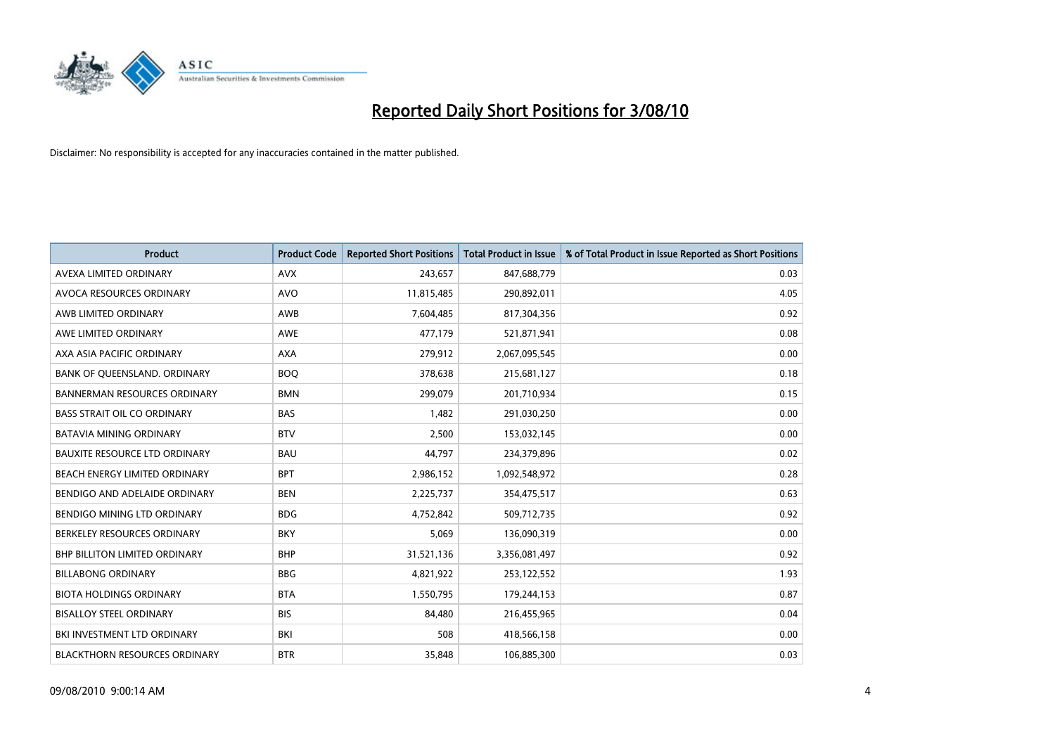

| <b>Product</b>                       | <b>Product Code</b> | <b>Reported Short Positions</b> | <b>Total Product in Issue</b> | % of Total Product in Issue Reported as Short Positions |
|--------------------------------------|---------------------|---------------------------------|-------------------------------|---------------------------------------------------------|
| AVEXA LIMITED ORDINARY               | <b>AVX</b>          | 243,657                         | 847,688,779                   | 0.03                                                    |
| AVOCA RESOURCES ORDINARY             | <b>AVO</b>          | 11,815,485                      | 290,892,011                   | 4.05                                                    |
| AWB LIMITED ORDINARY                 | <b>AWB</b>          | 7,604,485                       | 817,304,356                   | 0.92                                                    |
| AWE LIMITED ORDINARY                 | <b>AWE</b>          | 477,179                         | 521,871,941                   | 0.08                                                    |
| AXA ASIA PACIFIC ORDINARY            | <b>AXA</b>          | 279,912                         | 2,067,095,545                 | 0.00                                                    |
| BANK OF QUEENSLAND. ORDINARY         | <b>BOQ</b>          | 378,638                         | 215,681,127                   | 0.18                                                    |
| <b>BANNERMAN RESOURCES ORDINARY</b>  | <b>BMN</b>          | 299,079                         | 201,710,934                   | 0.15                                                    |
| <b>BASS STRAIT OIL CO ORDINARY</b>   | <b>BAS</b>          | 1,482                           | 291,030,250                   | 0.00                                                    |
| BATAVIA MINING ORDINARY              | <b>BTV</b>          | 2,500                           | 153,032,145                   | 0.00                                                    |
| <b>BAUXITE RESOURCE LTD ORDINARY</b> | <b>BAU</b>          | 44,797                          | 234,379,896                   | 0.02                                                    |
| BEACH ENERGY LIMITED ORDINARY        | <b>BPT</b>          | 2,986,152                       | 1,092,548,972                 | 0.28                                                    |
| BENDIGO AND ADELAIDE ORDINARY        | <b>BEN</b>          | 2,225,737                       | 354,475,517                   | 0.63                                                    |
| BENDIGO MINING LTD ORDINARY          | <b>BDG</b>          | 4,752,842                       | 509,712,735                   | 0.92                                                    |
| BERKELEY RESOURCES ORDINARY          | <b>BKY</b>          | 5,069                           | 136,090,319                   | 0.00                                                    |
| <b>BHP BILLITON LIMITED ORDINARY</b> | <b>BHP</b>          | 31,521,136                      | 3,356,081,497                 | 0.92                                                    |
| <b>BILLABONG ORDINARY</b>            | <b>BBG</b>          | 4,821,922                       | 253,122,552                   | 1.93                                                    |
| <b>BIOTA HOLDINGS ORDINARY</b>       | <b>BTA</b>          | 1,550,795                       | 179,244,153                   | 0.87                                                    |
| <b>BISALLOY STEEL ORDINARY</b>       | <b>BIS</b>          | 84,480                          | 216,455,965                   | 0.04                                                    |
| BKI INVESTMENT LTD ORDINARY          | BKI                 | 508                             | 418,566,158                   | 0.00                                                    |
| <b>BLACKTHORN RESOURCES ORDINARY</b> | <b>BTR</b>          | 35.848                          | 106,885,300                   | 0.03                                                    |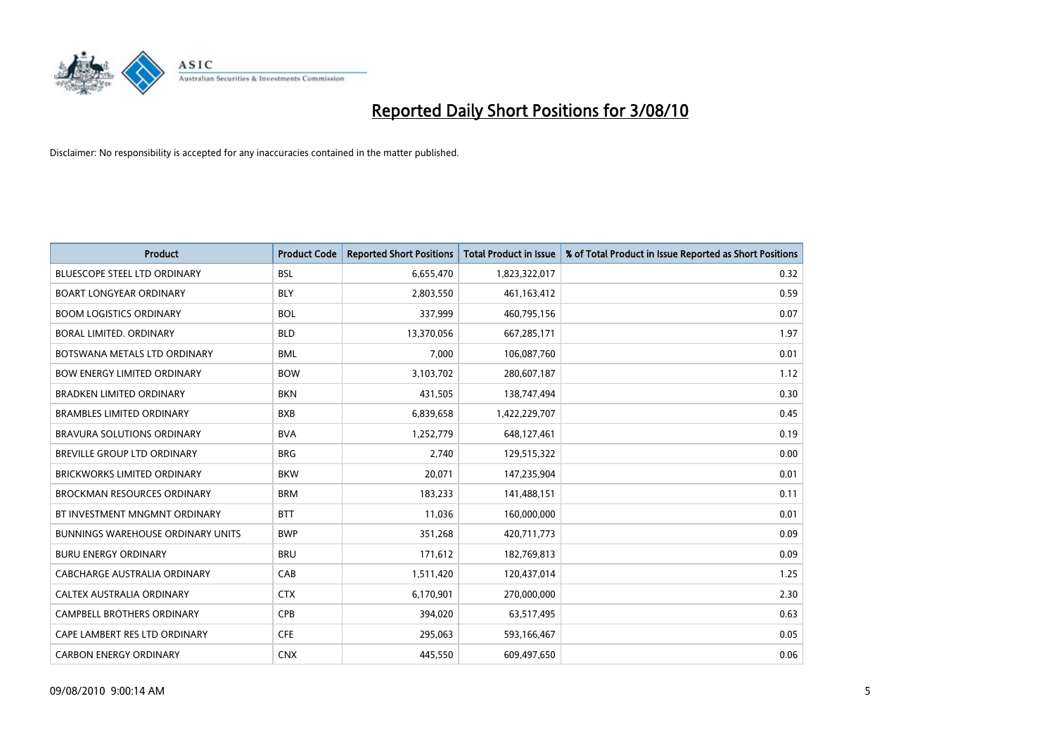

| <b>Product</b>                           | <b>Product Code</b> | <b>Reported Short Positions</b> | Total Product in Issue | % of Total Product in Issue Reported as Short Positions |
|------------------------------------------|---------------------|---------------------------------|------------------------|---------------------------------------------------------|
| <b>BLUESCOPE STEEL LTD ORDINARY</b>      | <b>BSL</b>          | 6,655,470                       | 1,823,322,017          | 0.32                                                    |
| <b>BOART LONGYEAR ORDINARY</b>           | <b>BLY</b>          | 2,803,550                       | 461,163,412            | 0.59                                                    |
| <b>BOOM LOGISTICS ORDINARY</b>           | <b>BOL</b>          | 337,999                         | 460,795,156            | 0.07                                                    |
| BORAL LIMITED. ORDINARY                  | <b>BLD</b>          | 13,370,056                      | 667,285,171            | 1.97                                                    |
| BOTSWANA METALS LTD ORDINARY             | <b>BML</b>          | 7,000                           | 106,087,760            | 0.01                                                    |
| <b>BOW ENERGY LIMITED ORDINARY</b>       | <b>BOW</b>          | 3,103,702                       | 280,607,187            | 1.12                                                    |
| <b>BRADKEN LIMITED ORDINARY</b>          | <b>BKN</b>          | 431,505                         | 138,747,494            | 0.30                                                    |
| <b>BRAMBLES LIMITED ORDINARY</b>         | <b>BXB</b>          | 6,839,658                       | 1,422,229,707          | 0.45                                                    |
| BRAVURA SOLUTIONS ORDINARY               | <b>BVA</b>          | 1,252,779                       | 648,127,461            | 0.19                                                    |
| <b>BREVILLE GROUP LTD ORDINARY</b>       | <b>BRG</b>          | 2,740                           | 129,515,322            | 0.00                                                    |
| <b>BRICKWORKS LIMITED ORDINARY</b>       | <b>BKW</b>          | 20,071                          | 147,235,904            | 0.01                                                    |
| <b>BROCKMAN RESOURCES ORDINARY</b>       | <b>BRM</b>          | 183,233                         | 141,488,151            | 0.11                                                    |
| BT INVESTMENT MNGMNT ORDINARY            | <b>BTT</b>          | 11,036                          | 160,000,000            | 0.01                                                    |
| <b>BUNNINGS WAREHOUSE ORDINARY UNITS</b> | <b>BWP</b>          | 351,268                         | 420,711,773            | 0.09                                                    |
| <b>BURU ENERGY ORDINARY</b>              | <b>BRU</b>          | 171,612                         | 182,769,813            | 0.09                                                    |
| CABCHARGE AUSTRALIA ORDINARY             | CAB                 | 1,511,420                       | 120,437,014            | 1.25                                                    |
| CALTEX AUSTRALIA ORDINARY                | <b>CTX</b>          | 6,170,901                       | 270,000,000            | 2.30                                                    |
| CAMPBELL BROTHERS ORDINARY               | <b>CPB</b>          | 394,020                         | 63,517,495             | 0.63                                                    |
| CAPE LAMBERT RES LTD ORDINARY            | <b>CFE</b>          | 295,063                         | 593,166,467            | 0.05                                                    |
| <b>CARBON ENERGY ORDINARY</b>            | <b>CNX</b>          | 445.550                         | 609.497.650            | 0.06                                                    |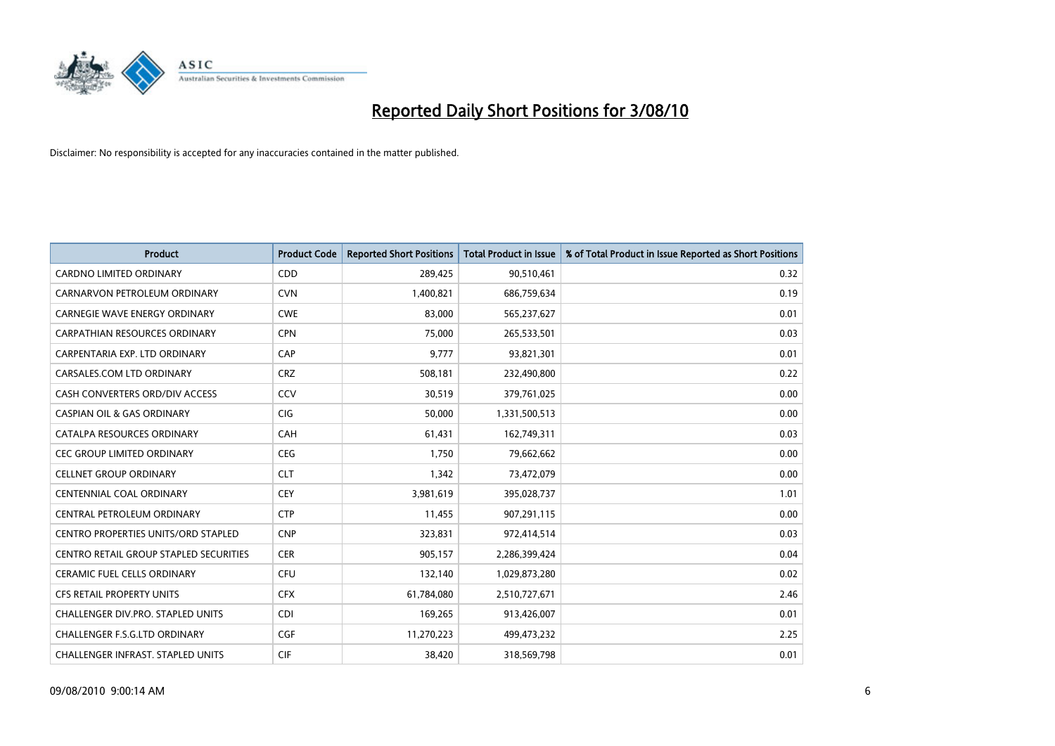

| <b>Product</b>                                | <b>Product Code</b> | <b>Reported Short Positions</b> | Total Product in Issue | % of Total Product in Issue Reported as Short Positions |
|-----------------------------------------------|---------------------|---------------------------------|------------------------|---------------------------------------------------------|
| <b>CARDNO LIMITED ORDINARY</b>                | CDD                 | 289,425                         | 90,510,461             | 0.32                                                    |
| CARNARVON PETROLEUM ORDINARY                  | <b>CVN</b>          | 1,400,821                       | 686,759,634            | 0.19                                                    |
| <b>CARNEGIE WAVE ENERGY ORDINARY</b>          | <b>CWE</b>          | 83,000                          | 565,237,627            | 0.01                                                    |
| CARPATHIAN RESOURCES ORDINARY                 | <b>CPN</b>          | 75,000                          | 265,533,501            | 0.03                                                    |
| CARPENTARIA EXP. LTD ORDINARY                 | CAP                 | 9,777                           | 93,821,301             | 0.01                                                    |
| CARSALES.COM LTD ORDINARY                     | <b>CRZ</b>          | 508,181                         | 232,490,800            | 0.22                                                    |
| CASH CONVERTERS ORD/DIV ACCESS                | CCV                 | 30,519                          | 379,761,025            | 0.00                                                    |
| <b>CASPIAN OIL &amp; GAS ORDINARY</b>         | <b>CIG</b>          | 50,000                          | 1,331,500,513          | 0.00                                                    |
| CATALPA RESOURCES ORDINARY                    | CAH                 | 61,431                          | 162,749,311            | 0.03                                                    |
| <b>CEC GROUP LIMITED ORDINARY</b>             | <b>CEG</b>          | 1,750                           | 79,662,662             | 0.00                                                    |
| CELLNET GROUP ORDINARY                        | <b>CLT</b>          | 1,342                           | 73,472,079             | 0.00                                                    |
| <b>CENTENNIAL COAL ORDINARY</b>               | <b>CEY</b>          | 3,981,619                       | 395,028,737            | 1.01                                                    |
| CENTRAL PETROLEUM ORDINARY                    | <b>CTP</b>          | 11,455                          | 907,291,115            | 0.00                                                    |
| <b>CENTRO PROPERTIES UNITS/ORD STAPLED</b>    | <b>CNP</b>          | 323,831                         | 972,414,514            | 0.03                                                    |
| <b>CENTRO RETAIL GROUP STAPLED SECURITIES</b> | <b>CER</b>          | 905,157                         | 2,286,399,424          | 0.04                                                    |
| CERAMIC FUEL CELLS ORDINARY                   | <b>CFU</b>          | 132,140                         | 1,029,873,280          | 0.02                                                    |
| <b>CFS RETAIL PROPERTY UNITS</b>              | <b>CFX</b>          | 61,784,080                      | 2,510,727,671          | 2.46                                                    |
| CHALLENGER DIV.PRO. STAPLED UNITS             | <b>CDI</b>          | 169,265                         | 913,426,007            | 0.01                                                    |
| <b>CHALLENGER F.S.G.LTD ORDINARY</b>          | <b>CGF</b>          | 11,270,223                      | 499,473,232            | 2.25                                                    |
| <b>CHALLENGER INFRAST, STAPLED UNITS</b>      | <b>CIF</b>          | 38,420                          | 318,569,798            | 0.01                                                    |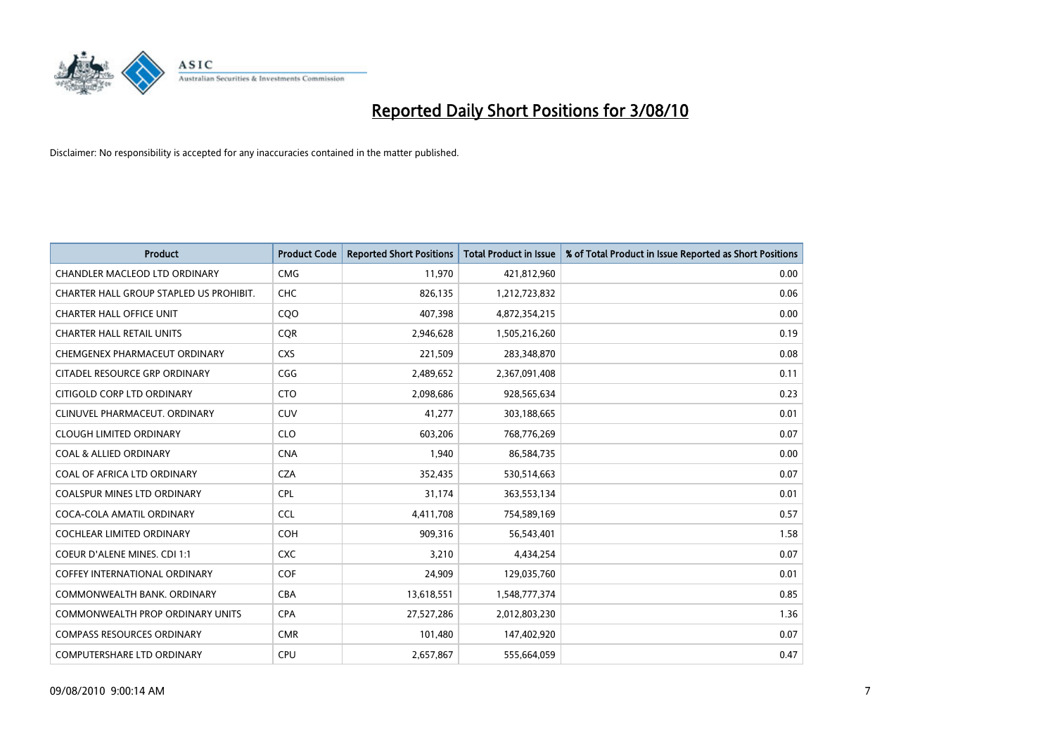

| <b>Product</b>                          | <b>Product Code</b> | <b>Reported Short Positions</b> | Total Product in Issue | % of Total Product in Issue Reported as Short Positions |
|-----------------------------------------|---------------------|---------------------------------|------------------------|---------------------------------------------------------|
| <b>CHANDLER MACLEOD LTD ORDINARY</b>    | <b>CMG</b>          | 11,970                          | 421,812,960            | 0.00                                                    |
| CHARTER HALL GROUP STAPLED US PROHIBIT. | <b>CHC</b>          | 826,135                         | 1,212,723,832          | 0.06                                                    |
| <b>CHARTER HALL OFFICE UNIT</b>         | CQO                 | 407,398                         | 4,872,354,215          | 0.00                                                    |
| <b>CHARTER HALL RETAIL UNITS</b>        | <b>COR</b>          | 2,946,628                       | 1,505,216,260          | 0.19                                                    |
| CHEMGENEX PHARMACEUT ORDINARY           | <b>CXS</b>          | 221,509                         | 283,348,870            | 0.08                                                    |
| CITADEL RESOURCE GRP ORDINARY           | CGG                 | 2,489,652                       | 2,367,091,408          | 0.11                                                    |
| CITIGOLD CORP LTD ORDINARY              | <b>CTO</b>          | 2,098,686                       | 928,565,634            | 0.23                                                    |
| CLINUVEL PHARMACEUT, ORDINARY           | <b>CUV</b>          | 41,277                          | 303,188,665            | 0.01                                                    |
| <b>CLOUGH LIMITED ORDINARY</b>          | <b>CLO</b>          | 603,206                         | 768,776,269            | 0.07                                                    |
| <b>COAL &amp; ALLIED ORDINARY</b>       | <b>CNA</b>          | 1.940                           | 86,584,735             | 0.00                                                    |
| COAL OF AFRICA LTD ORDINARY             | CZA                 | 352,435                         | 530,514,663            | 0.07                                                    |
| <b>COALSPUR MINES LTD ORDINARY</b>      | <b>CPL</b>          | 31,174                          | 363,553,134            | 0.01                                                    |
| COCA-COLA AMATIL ORDINARY               | <b>CCL</b>          | 4,411,708                       | 754,589,169            | 0.57                                                    |
| <b>COCHLEAR LIMITED ORDINARY</b>        | <b>COH</b>          | 909.316                         | 56,543,401             | 1.58                                                    |
| COEUR D'ALENE MINES. CDI 1:1            | <b>CXC</b>          | 3,210                           | 4,434,254              | 0.07                                                    |
| <b>COFFEY INTERNATIONAL ORDINARY</b>    | <b>COF</b>          | 24.909                          | 129,035,760            | 0.01                                                    |
| COMMONWEALTH BANK, ORDINARY             | <b>CBA</b>          | 13,618,551                      | 1,548,777,374          | 0.85                                                    |
| <b>COMMONWEALTH PROP ORDINARY UNITS</b> | <b>CPA</b>          | 27,527,286                      | 2,012,803,230          | 1.36                                                    |
| <b>COMPASS RESOURCES ORDINARY</b>       | <b>CMR</b>          | 101,480                         | 147,402,920            | 0.07                                                    |
| <b>COMPUTERSHARE LTD ORDINARY</b>       | <b>CPU</b>          | 2,657,867                       | 555,664,059            | 0.47                                                    |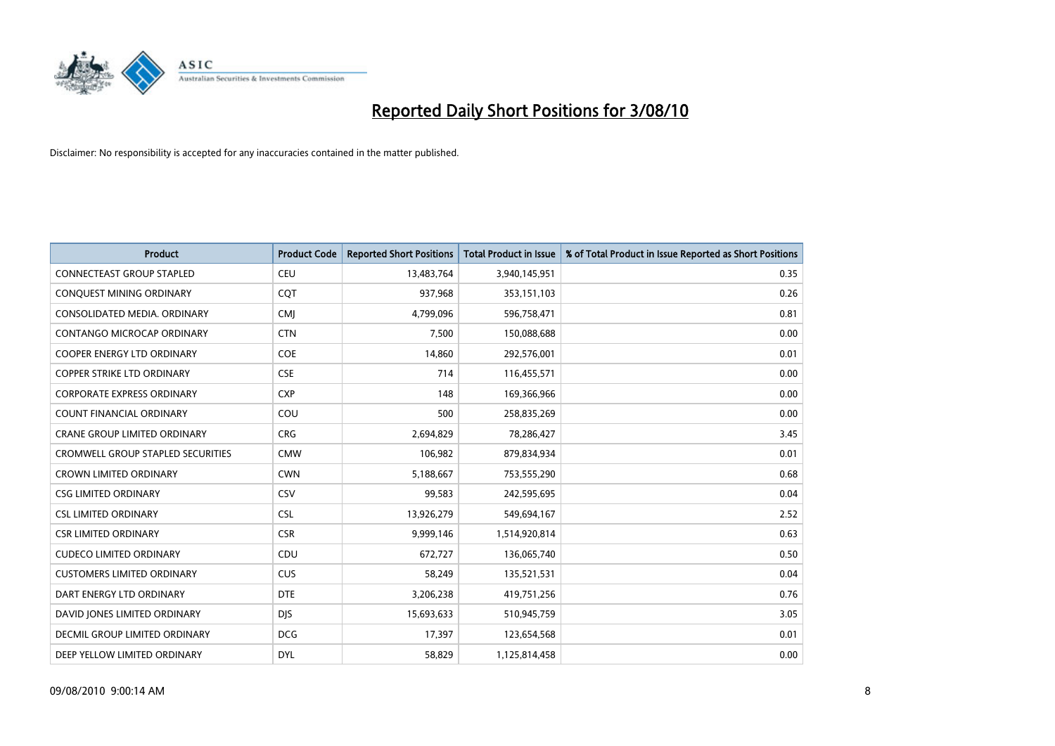

| <b>Product</b>                           | <b>Product Code</b> | <b>Reported Short Positions</b> | Total Product in Issue | % of Total Product in Issue Reported as Short Positions |
|------------------------------------------|---------------------|---------------------------------|------------------------|---------------------------------------------------------|
| <b>CONNECTEAST GROUP STAPLED</b>         | <b>CEU</b>          | 13,483,764                      | 3,940,145,951          | 0.35                                                    |
| CONQUEST MINING ORDINARY                 | COT                 | 937,968                         | 353,151,103            | 0.26                                                    |
| CONSOLIDATED MEDIA, ORDINARY             | <b>CMJ</b>          | 4,799,096                       | 596,758,471            | 0.81                                                    |
| CONTANGO MICROCAP ORDINARY               | <b>CTN</b>          | 7,500                           | 150,088,688            | 0.00                                                    |
| <b>COOPER ENERGY LTD ORDINARY</b>        | <b>COE</b>          | 14,860                          | 292,576,001            | 0.01                                                    |
| <b>COPPER STRIKE LTD ORDINARY</b>        | <b>CSE</b>          | 714                             | 116,455,571            | 0.00                                                    |
| <b>CORPORATE EXPRESS ORDINARY</b>        | <b>CXP</b>          | 148                             | 169,366,966            | 0.00                                                    |
| <b>COUNT FINANCIAL ORDINARY</b>          | COU                 | 500                             | 258,835,269            | 0.00                                                    |
| CRANE GROUP LIMITED ORDINARY             | <b>CRG</b>          | 2,694,829                       | 78,286,427             | 3.45                                                    |
| <b>CROMWELL GROUP STAPLED SECURITIES</b> | <b>CMW</b>          | 106,982                         | 879,834,934            | 0.01                                                    |
| <b>CROWN LIMITED ORDINARY</b>            | <b>CWN</b>          | 5,188,667                       | 753,555,290            | 0.68                                                    |
| <b>CSG LIMITED ORDINARY</b>              | CSV                 | 99,583                          | 242,595,695            | 0.04                                                    |
| <b>CSL LIMITED ORDINARY</b>              | <b>CSL</b>          | 13,926,279                      | 549,694,167            | 2.52                                                    |
| <b>CSR LIMITED ORDINARY</b>              | <b>CSR</b>          | 9,999,146                       | 1,514,920,814          | 0.63                                                    |
| <b>CUDECO LIMITED ORDINARY</b>           | CDU                 | 672,727                         | 136,065,740            | 0.50                                                    |
| <b>CUSTOMERS LIMITED ORDINARY</b>        | CUS                 | 58,249                          | 135,521,531            | 0.04                                                    |
| DART ENERGY LTD ORDINARY                 | <b>DTE</b>          | 3,206,238                       | 419,751,256            | 0.76                                                    |
| DAVID JONES LIMITED ORDINARY             | <b>DJS</b>          | 15,693,633                      | 510,945,759            | 3.05                                                    |
| <b>DECMIL GROUP LIMITED ORDINARY</b>     | <b>DCG</b>          | 17,397                          | 123,654,568            | 0.01                                                    |
| DEEP YELLOW LIMITED ORDINARY             | <b>DYL</b>          | 58,829                          | 1,125,814,458          | 0.00                                                    |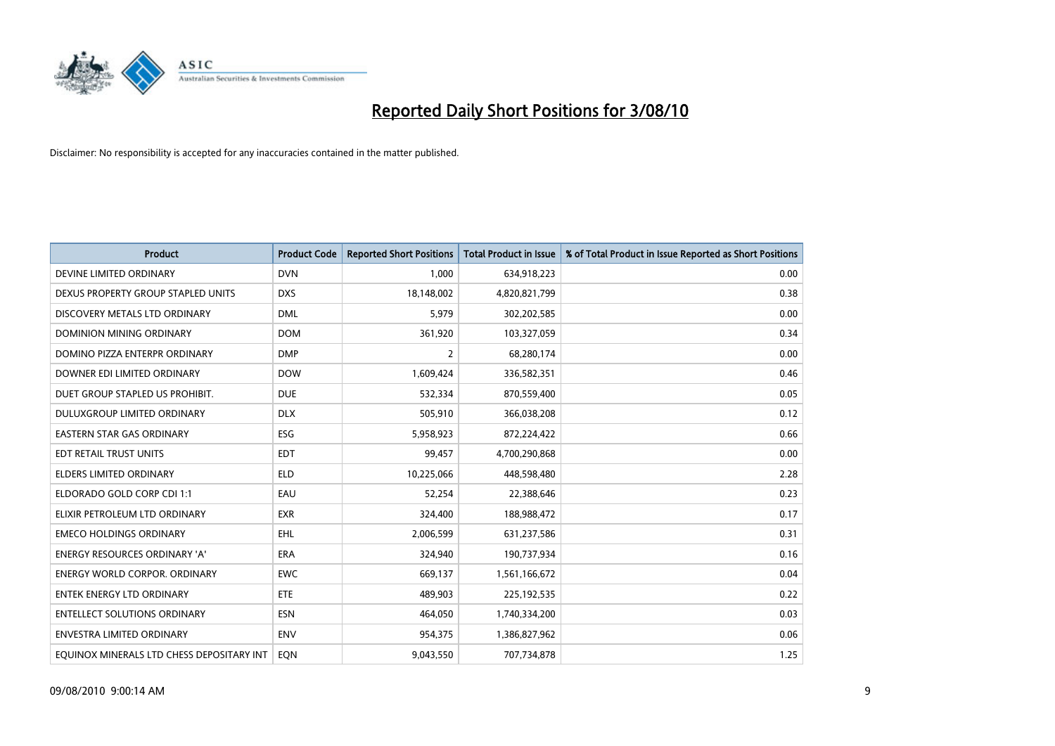

| <b>Product</b>                            | <b>Product Code</b> | <b>Reported Short Positions</b> | Total Product in Issue | % of Total Product in Issue Reported as Short Positions |
|-------------------------------------------|---------------------|---------------------------------|------------------------|---------------------------------------------------------|
| DEVINE LIMITED ORDINARY                   | <b>DVN</b>          | 1,000                           | 634,918,223            | 0.00                                                    |
| DEXUS PROPERTY GROUP STAPLED UNITS        | <b>DXS</b>          | 18,148,002                      | 4,820,821,799          | 0.38                                                    |
| DISCOVERY METALS LTD ORDINARY             | <b>DML</b>          | 5,979                           | 302,202,585            | 0.00                                                    |
| <b>DOMINION MINING ORDINARY</b>           | <b>DOM</b>          | 361,920                         | 103,327,059            | 0.34                                                    |
| DOMINO PIZZA ENTERPR ORDINARY             | <b>DMP</b>          | 2                               | 68,280,174             | 0.00                                                    |
| DOWNER EDI LIMITED ORDINARY               | <b>DOW</b>          | 1,609,424                       | 336,582,351            | 0.46                                                    |
| DUET GROUP STAPLED US PROHIBIT.           | <b>DUE</b>          | 532,334                         | 870,559,400            | 0.05                                                    |
| DULUXGROUP LIMITED ORDINARY               | <b>DLX</b>          | 505,910                         | 366,038,208            | 0.12                                                    |
| EASTERN STAR GAS ORDINARY                 | ESG                 | 5,958,923                       | 872,224,422            | 0.66                                                    |
| EDT RETAIL TRUST UNITS                    | <b>EDT</b>          | 99,457                          | 4,700,290,868          | 0.00                                                    |
| <b>ELDERS LIMITED ORDINARY</b>            | <b>ELD</b>          | 10,225,066                      | 448,598,480            | 2.28                                                    |
| ELDORADO GOLD CORP CDI 1:1                | EAU                 | 52,254                          | 22,388,646             | 0.23                                                    |
| ELIXIR PETROLEUM LTD ORDINARY             | <b>EXR</b>          | 324,400                         | 188,988,472            | 0.17                                                    |
| <b>EMECO HOLDINGS ORDINARY</b>            | <b>EHL</b>          | 2,006,599                       | 631,237,586            | 0.31                                                    |
| <b>ENERGY RESOURCES ORDINARY 'A'</b>      | <b>ERA</b>          | 324,940                         | 190,737,934            | 0.16                                                    |
| <b>ENERGY WORLD CORPOR. ORDINARY</b>      | <b>EWC</b>          | 669,137                         | 1,561,166,672          | 0.04                                                    |
| <b>ENTEK ENERGY LTD ORDINARY</b>          | ETE                 | 489,903                         | 225,192,535            | 0.22                                                    |
| <b>ENTELLECT SOLUTIONS ORDINARY</b>       | <b>ESN</b>          | 464,050                         | 1,740,334,200          | 0.03                                                    |
| <b>ENVESTRA LIMITED ORDINARY</b>          | <b>ENV</b>          | 954,375                         | 1,386,827,962          | 0.06                                                    |
| EQUINOX MINERALS LTD CHESS DEPOSITARY INT | <b>EON</b>          | 9,043,550                       | 707,734,878            | 1.25                                                    |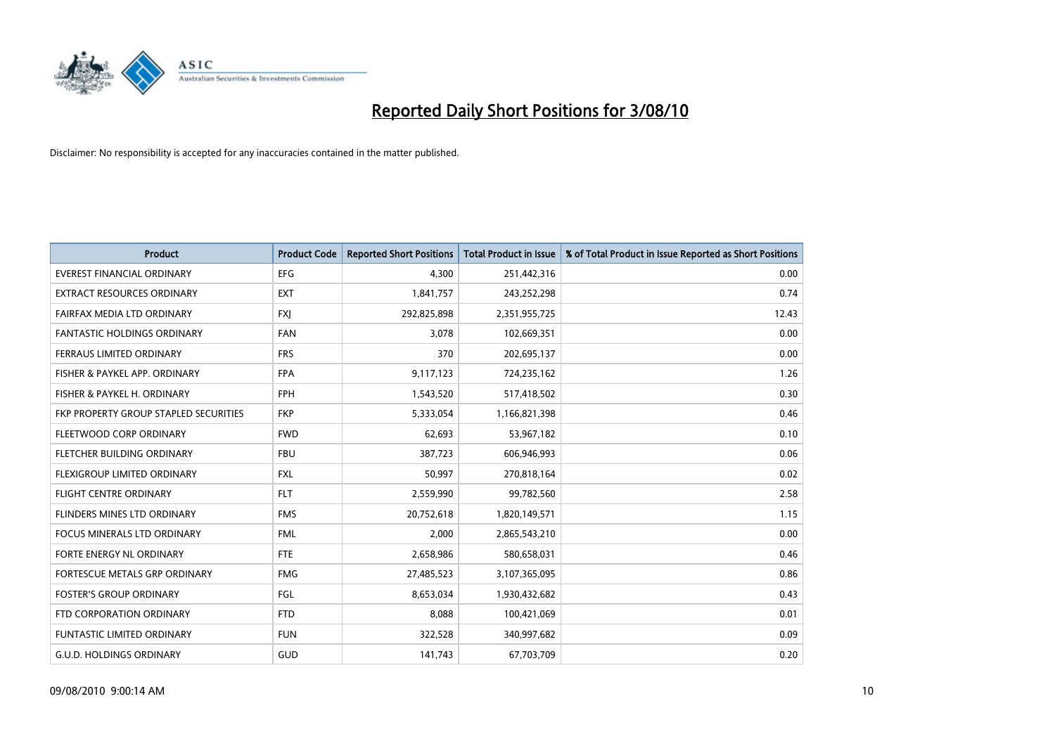

| <b>Product</b>                        | <b>Product Code</b> | <b>Reported Short Positions</b> | <b>Total Product in Issue</b> | % of Total Product in Issue Reported as Short Positions |
|---------------------------------------|---------------------|---------------------------------|-------------------------------|---------------------------------------------------------|
| <b>EVEREST FINANCIAL ORDINARY</b>     | <b>EFG</b>          | 4.300                           | 251,442,316                   | 0.00                                                    |
| EXTRACT RESOURCES ORDINARY            | <b>EXT</b>          | 1,841,757                       | 243,252,298                   | 0.74                                                    |
| FAIRFAX MEDIA LTD ORDINARY            | <b>FXJ</b>          | 292,825,898                     | 2,351,955,725                 | 12.43                                                   |
| FANTASTIC HOLDINGS ORDINARY           | <b>FAN</b>          | 3,078                           | 102,669,351                   | 0.00                                                    |
| FERRAUS LIMITED ORDINARY              | <b>FRS</b>          | 370                             | 202,695,137                   | 0.00                                                    |
| FISHER & PAYKEL APP. ORDINARY         | <b>FPA</b>          | 9,117,123                       | 724,235,162                   | 1.26                                                    |
| FISHER & PAYKEL H. ORDINARY           | <b>FPH</b>          | 1,543,520                       | 517,418,502                   | 0.30                                                    |
| FKP PROPERTY GROUP STAPLED SECURITIES | <b>FKP</b>          | 5,333,054                       | 1,166,821,398                 | 0.46                                                    |
| FLEETWOOD CORP ORDINARY               | <b>FWD</b>          | 62,693                          | 53,967,182                    | 0.10                                                    |
| FLETCHER BUILDING ORDINARY            | <b>FBU</b>          | 387,723                         | 606,946,993                   | 0.06                                                    |
| <b>FLEXIGROUP LIMITED ORDINARY</b>    | <b>FXL</b>          | 50,997                          | 270,818,164                   | 0.02                                                    |
| <b>FLIGHT CENTRE ORDINARY</b>         | <b>FLT</b>          | 2,559,990                       | 99,782,560                    | 2.58                                                    |
| <b>FLINDERS MINES LTD ORDINARY</b>    | <b>FMS</b>          | 20,752,618                      | 1,820,149,571                 | 1.15                                                    |
| <b>FOCUS MINERALS LTD ORDINARY</b>    | <b>FML</b>          | 2,000                           | 2,865,543,210                 | 0.00                                                    |
| FORTE ENERGY NL ORDINARY              | <b>FTE</b>          | 2,658,986                       | 580,658,031                   | 0.46                                                    |
| FORTESCUE METALS GRP ORDINARY         | <b>FMG</b>          | 27,485,523                      | 3,107,365,095                 | 0.86                                                    |
| <b>FOSTER'S GROUP ORDINARY</b>        | FGL                 | 8,653,034                       | 1,930,432,682                 | 0.43                                                    |
| FTD CORPORATION ORDINARY              | <b>FTD</b>          | 8,088                           | 100,421,069                   | 0.01                                                    |
| <b>FUNTASTIC LIMITED ORDINARY</b>     | <b>FUN</b>          | 322,528                         | 340,997,682                   | 0.09                                                    |
| <b>G.U.D. HOLDINGS ORDINARY</b>       | GUD                 | 141.743                         | 67,703,709                    | 0.20                                                    |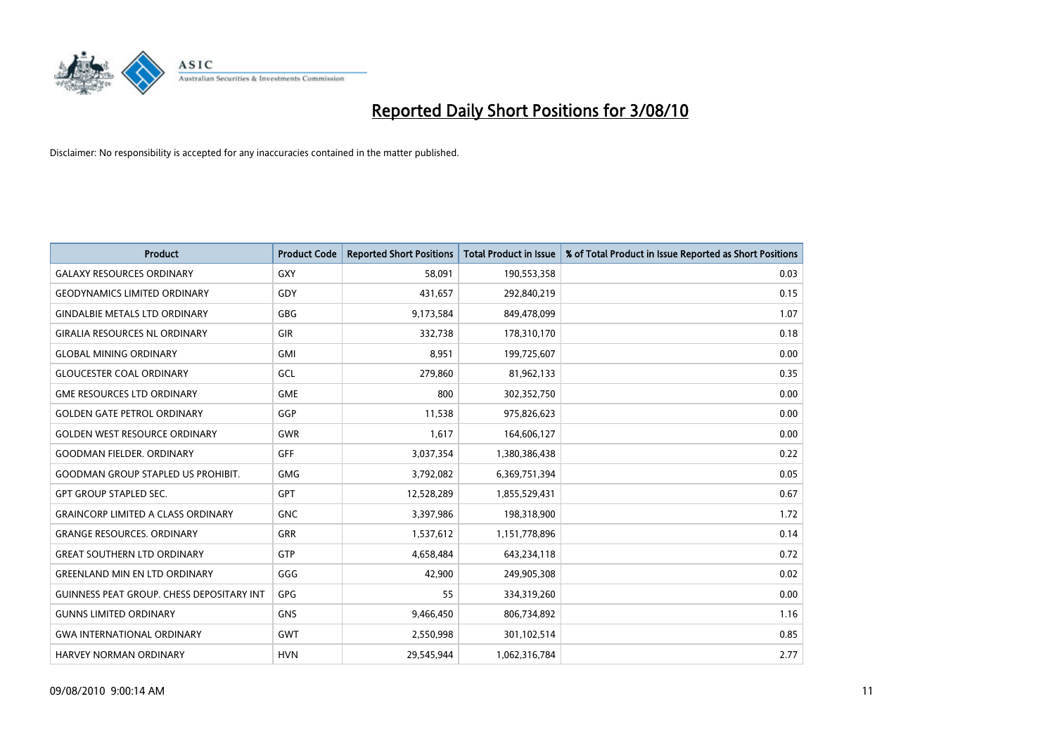

| <b>Product</b>                                   | <b>Product Code</b> | <b>Reported Short Positions</b> | <b>Total Product in Issue</b> | % of Total Product in Issue Reported as Short Positions |
|--------------------------------------------------|---------------------|---------------------------------|-------------------------------|---------------------------------------------------------|
| <b>GALAXY RESOURCES ORDINARY</b>                 | GXY                 | 58,091                          | 190,553,358                   | 0.03                                                    |
| <b>GEODYNAMICS LIMITED ORDINARY</b>              | GDY                 | 431,657                         | 292,840,219                   | 0.15                                                    |
| <b>GINDALBIE METALS LTD ORDINARY</b>             | <b>GBG</b>          | 9,173,584                       | 849,478,099                   | 1.07                                                    |
| <b>GIRALIA RESOURCES NL ORDINARY</b>             | <b>GIR</b>          | 332,738                         | 178,310,170                   | 0.18                                                    |
| <b>GLOBAL MINING ORDINARY</b>                    | <b>GMI</b>          | 8,951                           | 199,725,607                   | 0.00                                                    |
| <b>GLOUCESTER COAL ORDINARY</b>                  | GCL                 | 279,860                         | 81,962,133                    | 0.35                                                    |
| <b>GME RESOURCES LTD ORDINARY</b>                | <b>GME</b>          | 800                             | 302,352,750                   | 0.00                                                    |
| <b>GOLDEN GATE PETROL ORDINARY</b>               | GGP                 | 11,538                          | 975,826,623                   | 0.00                                                    |
| <b>GOLDEN WEST RESOURCE ORDINARY</b>             | <b>GWR</b>          | 1,617                           | 164,606,127                   | 0.00                                                    |
| <b>GOODMAN FIELDER, ORDINARY</b>                 | <b>GFF</b>          | 3,037,354                       | 1,380,386,438                 | 0.22                                                    |
| <b>GOODMAN GROUP STAPLED US PROHIBIT.</b>        | <b>GMG</b>          | 3,792,082                       | 6,369,751,394                 | 0.05                                                    |
| <b>GPT GROUP STAPLED SEC.</b>                    | GPT                 | 12,528,289                      | 1,855,529,431                 | 0.67                                                    |
| <b>GRAINCORP LIMITED A CLASS ORDINARY</b>        | <b>GNC</b>          | 3,397,986                       | 198,318,900                   | 1.72                                                    |
| <b>GRANGE RESOURCES, ORDINARY</b>                | <b>GRR</b>          | 1,537,612                       | 1,151,778,896                 | 0.14                                                    |
| <b>GREAT SOUTHERN LTD ORDINARY</b>               | GTP                 | 4,658,484                       | 643,234,118                   | 0.72                                                    |
| <b>GREENLAND MIN EN LTD ORDINARY</b>             | GGG                 | 42,900                          | 249,905,308                   | 0.02                                                    |
| <b>GUINNESS PEAT GROUP. CHESS DEPOSITARY INT</b> | GPG                 | 55                              | 334,319,260                   | 0.00                                                    |
| <b>GUNNS LIMITED ORDINARY</b>                    | <b>GNS</b>          | 9,466,450                       | 806,734,892                   | 1.16                                                    |
| <b>GWA INTERNATIONAL ORDINARY</b>                | <b>GWT</b>          | 2,550,998                       | 301,102,514                   | 0.85                                                    |
| <b>HARVEY NORMAN ORDINARY</b>                    | <b>HVN</b>          | 29.545.944                      | 1,062,316,784                 | 2.77                                                    |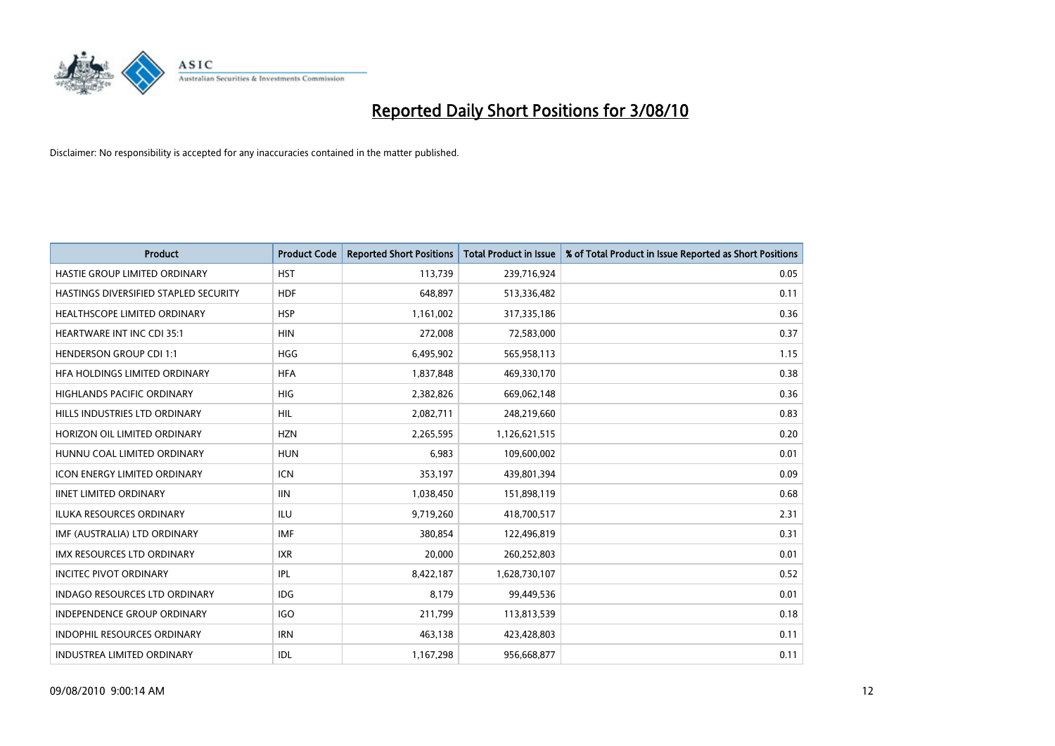

| <b>Product</b>                        | <b>Product Code</b> | <b>Reported Short Positions</b> | <b>Total Product in Issue</b> | % of Total Product in Issue Reported as Short Positions |
|---------------------------------------|---------------------|---------------------------------|-------------------------------|---------------------------------------------------------|
| HASTIE GROUP LIMITED ORDINARY         | <b>HST</b>          | 113,739                         | 239,716,924                   | 0.05                                                    |
| HASTINGS DIVERSIFIED STAPLED SECURITY | <b>HDF</b>          | 648,897                         | 513,336,482                   | 0.11                                                    |
| <b>HEALTHSCOPE LIMITED ORDINARY</b>   | <b>HSP</b>          | 1,161,002                       | 317,335,186                   | 0.36                                                    |
| HEARTWARE INT INC CDI 35:1            | <b>HIN</b>          | 272,008                         | 72,583,000                    | 0.37                                                    |
| <b>HENDERSON GROUP CDI 1:1</b>        | <b>HGG</b>          | 6,495,902                       | 565,958,113                   | 1.15                                                    |
| HFA HOLDINGS LIMITED ORDINARY         | <b>HFA</b>          | 1,837,848                       | 469,330,170                   | 0.38                                                    |
| <b>HIGHLANDS PACIFIC ORDINARY</b>     | <b>HIG</b>          | 2,382,826                       | 669,062,148                   | 0.36                                                    |
| HILLS INDUSTRIES LTD ORDINARY         | <b>HIL</b>          | 2,082,711                       | 248,219,660                   | 0.83                                                    |
| HORIZON OIL LIMITED ORDINARY          | <b>HZN</b>          | 2,265,595                       | 1,126,621,515                 | 0.20                                                    |
| HUNNU COAL LIMITED ORDINARY           | <b>HUN</b>          | 6,983                           | 109,600,002                   | 0.01                                                    |
| <b>ICON ENERGY LIMITED ORDINARY</b>   | <b>ICN</b>          | 353,197                         | 439,801,394                   | 0.09                                                    |
| <b>IINET LIMITED ORDINARY</b>         | <b>IIN</b>          | 1,038,450                       | 151,898,119                   | 0.68                                                    |
| ILUKA RESOURCES ORDINARY              | <b>ILU</b>          | 9,719,260                       | 418,700,517                   | 2.31                                                    |
| IMF (AUSTRALIA) LTD ORDINARY          | <b>IMF</b>          | 380,854                         | 122,496,819                   | 0.31                                                    |
| <b>IMX RESOURCES LTD ORDINARY</b>     | <b>IXR</b>          | 20,000                          | 260,252,803                   | 0.01                                                    |
| <b>INCITEC PIVOT ORDINARY</b>         | <b>IPL</b>          | 8,422,187                       | 1,628,730,107                 | 0.52                                                    |
| <b>INDAGO RESOURCES LTD ORDINARY</b>  | <b>IDG</b>          | 8,179                           | 99,449,536                    | 0.01                                                    |
| INDEPENDENCE GROUP ORDINARY           | <b>IGO</b>          | 211,799                         | 113,813,539                   | 0.18                                                    |
| <b>INDOPHIL RESOURCES ORDINARY</b>    | <b>IRN</b>          | 463,138                         | 423,428,803                   | 0.11                                                    |
| <b>INDUSTREA LIMITED ORDINARY</b>     | IDL                 | 1,167,298                       | 956,668,877                   | 0.11                                                    |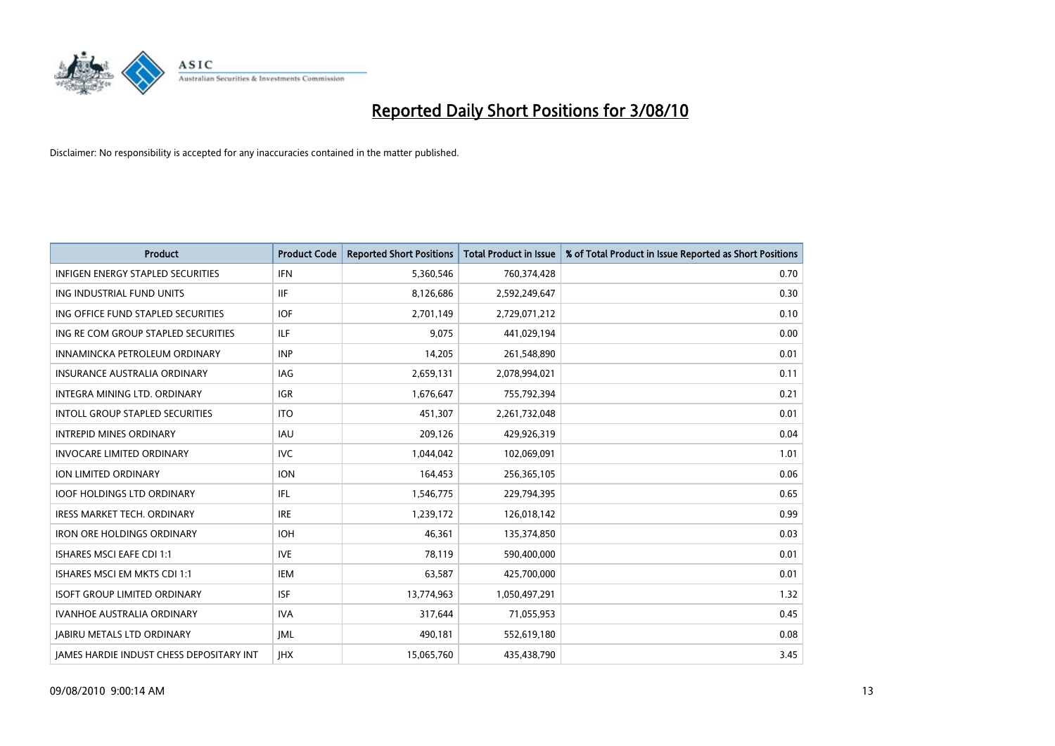

| <b>Product</b>                                  | <b>Product Code</b> | <b>Reported Short Positions</b> | Total Product in Issue | % of Total Product in Issue Reported as Short Positions |
|-------------------------------------------------|---------------------|---------------------------------|------------------------|---------------------------------------------------------|
| <b>INFIGEN ENERGY STAPLED SECURITIES</b>        | <b>IFN</b>          | 5,360,546                       | 760,374,428            | 0.70                                                    |
| ING INDUSTRIAL FUND UNITS                       | <b>IIF</b>          | 8,126,686                       | 2,592,249,647          | 0.30                                                    |
| ING OFFICE FUND STAPLED SECURITIES              | <b>IOF</b>          | 2,701,149                       | 2,729,071,212          | 0.10                                                    |
| ING RE COM GROUP STAPLED SECURITIES             | <b>ILF</b>          | 9,075                           | 441,029,194            | 0.00                                                    |
| INNAMINCKA PETROLEUM ORDINARY                   | <b>INP</b>          | 14,205                          | 261,548,890            | 0.01                                                    |
| <b>INSURANCE AUSTRALIA ORDINARY</b>             | IAG                 | 2,659,131                       | 2,078,994,021          | 0.11                                                    |
| <b>INTEGRA MINING LTD, ORDINARY</b>             | <b>IGR</b>          | 1,676,647                       | 755,792,394            | 0.21                                                    |
| <b>INTOLL GROUP STAPLED SECURITIES</b>          | <b>ITO</b>          | 451,307                         | 2,261,732,048          | 0.01                                                    |
| <b>INTREPID MINES ORDINARY</b>                  | <b>IAU</b>          | 209,126                         | 429,926,319            | 0.04                                                    |
| <b>INVOCARE LIMITED ORDINARY</b>                | <b>IVC</b>          | 1,044,042                       | 102,069,091            | 1.01                                                    |
| <b>ION LIMITED ORDINARY</b>                     | <b>ION</b>          | 164,453                         | 256,365,105            | 0.06                                                    |
| <b>IOOF HOLDINGS LTD ORDINARY</b>               | IFL.                | 1,546,775                       | 229,794,395            | 0.65                                                    |
| <b>IRESS MARKET TECH. ORDINARY</b>              | <b>IRE</b>          | 1,239,172                       | 126,018,142            | 0.99                                                    |
| <b>IRON ORE HOLDINGS ORDINARY</b>               | <b>IOH</b>          | 46,361                          | 135,374,850            | 0.03                                                    |
| <b>ISHARES MSCI EAFE CDI 1:1</b>                | <b>IVE</b>          | 78,119                          | 590,400,000            | 0.01                                                    |
| ISHARES MSCI EM MKTS CDI 1:1                    | <b>IEM</b>          | 63,587                          | 425,700,000            | 0.01                                                    |
| <b>ISOFT GROUP LIMITED ORDINARY</b>             | <b>ISF</b>          | 13,774,963                      | 1,050,497,291          | 1.32                                                    |
| IVANHOE AUSTRALIA ORDINARY                      | <b>IVA</b>          | 317,644                         | 71,055,953             | 0.45                                                    |
| <b>IABIRU METALS LTD ORDINARY</b>               | <b>JML</b>          | 490,181                         | 552,619,180            | 0.08                                                    |
| <b>IAMES HARDIE INDUST CHESS DEPOSITARY INT</b> | <b>JHX</b>          | 15,065,760                      | 435,438,790            | 3.45                                                    |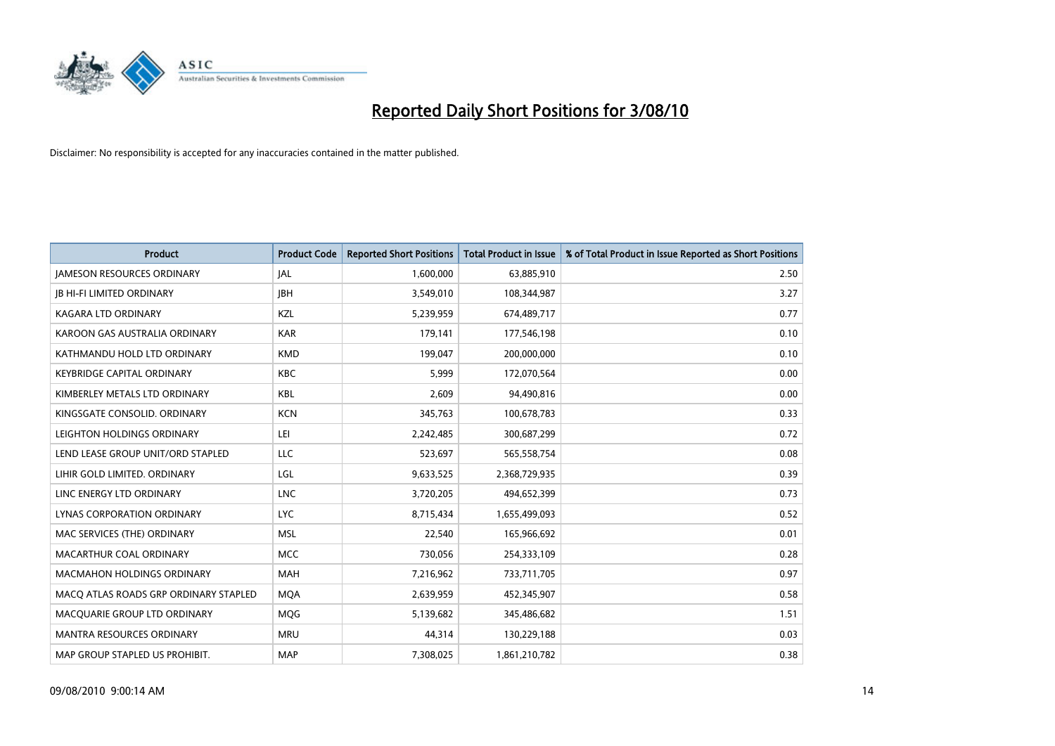

| <b>Product</b>                        | <b>Product Code</b> | <b>Reported Short Positions</b> | <b>Total Product in Issue</b> | % of Total Product in Issue Reported as Short Positions |
|---------------------------------------|---------------------|---------------------------------|-------------------------------|---------------------------------------------------------|
| <b>JAMESON RESOURCES ORDINARY</b>     | JAL                 | 1,600,000                       | 63,885,910                    | 2.50                                                    |
| <b>JB HI-FI LIMITED ORDINARY</b>      | <b>IBH</b>          | 3,549,010                       | 108,344,987                   | 3.27                                                    |
| KAGARA LTD ORDINARY                   | KZL                 | 5,239,959                       | 674,489,717                   | 0.77                                                    |
| KAROON GAS AUSTRALIA ORDINARY         | <b>KAR</b>          | 179,141                         | 177,546,198                   | 0.10                                                    |
| KATHMANDU HOLD LTD ORDINARY           | <b>KMD</b>          | 199.047                         | 200,000,000                   | 0.10                                                    |
| <b>KEYBRIDGE CAPITAL ORDINARY</b>     | <b>KBC</b>          | 5,999                           | 172,070,564                   | 0.00                                                    |
| KIMBERLEY METALS LTD ORDINARY         | <b>KBL</b>          | 2.609                           | 94,490,816                    | 0.00                                                    |
| KINGSGATE CONSOLID. ORDINARY          | <b>KCN</b>          | 345,763                         | 100,678,783                   | 0.33                                                    |
| LEIGHTON HOLDINGS ORDINARY            | LEI                 | 2,242,485                       | 300,687,299                   | 0.72                                                    |
| LEND LEASE GROUP UNIT/ORD STAPLED     | LLC                 | 523,697                         | 565,558,754                   | 0.08                                                    |
| LIHIR GOLD LIMITED. ORDINARY          | LGL                 | 9,633,525                       | 2,368,729,935                 | 0.39                                                    |
| LINC ENERGY LTD ORDINARY              | <b>LNC</b>          | 3,720,205                       | 494,652,399                   | 0.73                                                    |
| LYNAS CORPORATION ORDINARY            | <b>LYC</b>          | 8,715,434                       | 1,655,499,093                 | 0.52                                                    |
| MAC SERVICES (THE) ORDINARY           | <b>MSL</b>          | 22,540                          | 165,966,692                   | 0.01                                                    |
| MACARTHUR COAL ORDINARY               | <b>MCC</b>          | 730,056                         | 254,333,109                   | 0.28                                                    |
| <b>MACMAHON HOLDINGS ORDINARY</b>     | <b>MAH</b>          | 7,216,962                       | 733,711,705                   | 0.97                                                    |
| MACQ ATLAS ROADS GRP ORDINARY STAPLED | <b>MQA</b>          | 2,639,959                       | 452,345,907                   | 0.58                                                    |
| MACQUARIE GROUP LTD ORDINARY          | MQG                 | 5,139,682                       | 345,486,682                   | 1.51                                                    |
| <b>MANTRA RESOURCES ORDINARY</b>      | <b>MRU</b>          | 44,314                          | 130,229,188                   | 0.03                                                    |
| MAP GROUP STAPLED US PROHIBIT.        | <b>MAP</b>          | 7,308,025                       | 1,861,210,782                 | 0.38                                                    |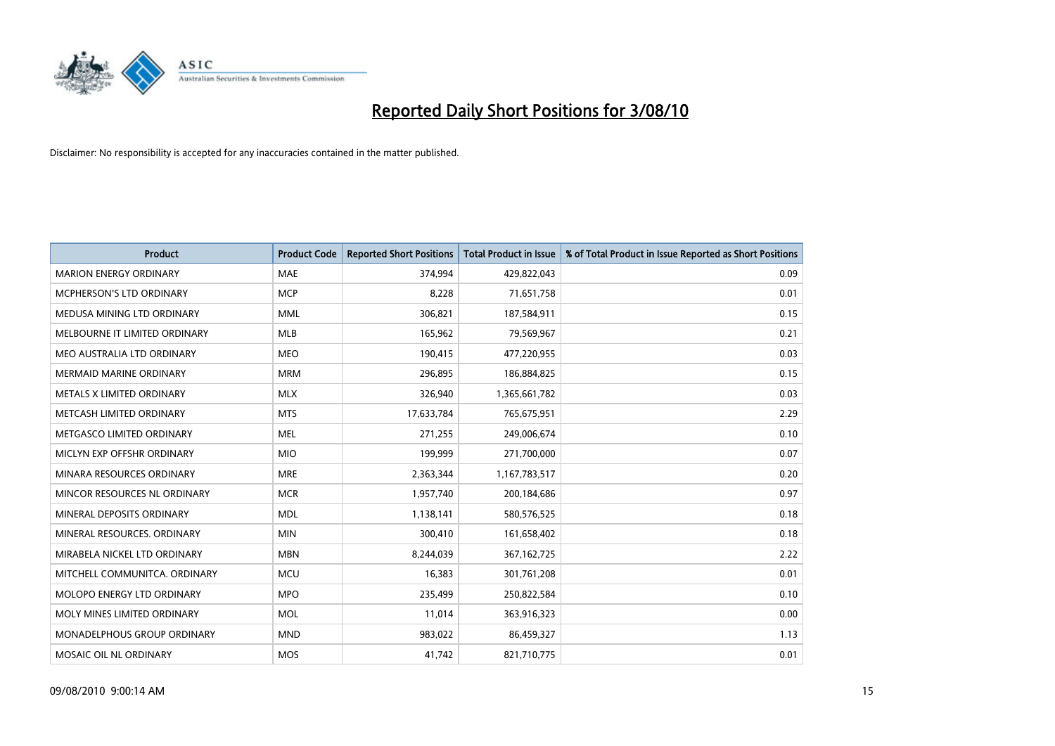

| <b>Product</b>                   | <b>Product Code</b> | <b>Reported Short Positions</b> | <b>Total Product in Issue</b> | % of Total Product in Issue Reported as Short Positions |
|----------------------------------|---------------------|---------------------------------|-------------------------------|---------------------------------------------------------|
| <b>MARION ENERGY ORDINARY</b>    | <b>MAE</b>          | 374,994                         | 429,822,043                   | 0.09                                                    |
| MCPHERSON'S LTD ORDINARY         | <b>MCP</b>          | 8,228                           | 71,651,758                    | 0.01                                                    |
| MEDUSA MINING LTD ORDINARY       | <b>MML</b>          | 306,821                         | 187,584,911                   | 0.15                                                    |
| MELBOURNE IT LIMITED ORDINARY    | <b>MLB</b>          | 165,962                         | 79,569,967                    | 0.21                                                    |
| MEO AUSTRALIA LTD ORDINARY       | <b>MEO</b>          | 190,415                         | 477,220,955                   | 0.03                                                    |
| <b>MERMAID MARINE ORDINARY</b>   | <b>MRM</b>          | 296,895                         | 186,884,825                   | 0.15                                                    |
| <b>METALS X LIMITED ORDINARY</b> | <b>MLX</b>          | 326,940                         | 1,365,661,782                 | 0.03                                                    |
| METCASH LIMITED ORDINARY         | <b>MTS</b>          | 17,633,784                      | 765,675,951                   | 2.29                                                    |
| METGASCO LIMITED ORDINARY        | <b>MEL</b>          | 271,255                         | 249,006,674                   | 0.10                                                    |
| MICLYN EXP OFFSHR ORDINARY       | <b>MIO</b>          | 199,999                         | 271,700,000                   | 0.07                                                    |
| MINARA RESOURCES ORDINARY        | <b>MRE</b>          | 2,363,344                       | 1,167,783,517                 | 0.20                                                    |
| MINCOR RESOURCES NL ORDINARY     | <b>MCR</b>          | 1,957,740                       | 200,184,686                   | 0.97                                                    |
| MINERAL DEPOSITS ORDINARY        | <b>MDL</b>          | 1,138,141                       | 580,576,525                   | 0.18                                                    |
| MINERAL RESOURCES, ORDINARY      | <b>MIN</b>          | 300,410                         | 161,658,402                   | 0.18                                                    |
| MIRABELA NICKEL LTD ORDINARY     | <b>MBN</b>          | 8,244,039                       | 367, 162, 725                 | 2.22                                                    |
| MITCHELL COMMUNITCA. ORDINARY    | <b>MCU</b>          | 16,383                          | 301,761,208                   | 0.01                                                    |
| MOLOPO ENERGY LTD ORDINARY       | <b>MPO</b>          | 235,499                         | 250,822,584                   | 0.10                                                    |
| MOLY MINES LIMITED ORDINARY      | <b>MOL</b>          | 11,014                          | 363,916,323                   | 0.00                                                    |
| MONADELPHOUS GROUP ORDINARY      | <b>MND</b>          | 983,022                         | 86,459,327                    | 1.13                                                    |
| MOSAIC OIL NL ORDINARY           | <b>MOS</b>          | 41,742                          | 821,710,775                   | 0.01                                                    |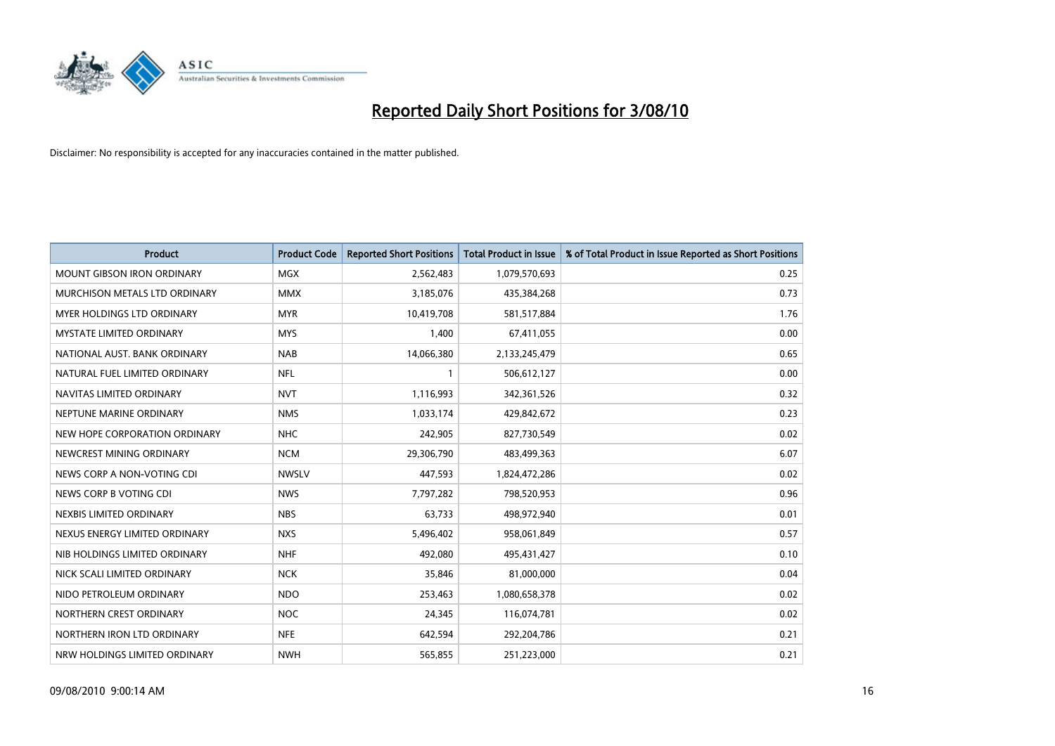

| <b>Product</b>                    | <b>Product Code</b> | <b>Reported Short Positions</b> | Total Product in Issue | % of Total Product in Issue Reported as Short Positions |
|-----------------------------------|---------------------|---------------------------------|------------------------|---------------------------------------------------------|
| <b>MOUNT GIBSON IRON ORDINARY</b> | MGX                 | 2,562,483                       | 1,079,570,693          | 0.25                                                    |
| MURCHISON METALS LTD ORDINARY     | <b>MMX</b>          | 3,185,076                       | 435,384,268            | 0.73                                                    |
| <b>MYER HOLDINGS LTD ORDINARY</b> | <b>MYR</b>          | 10,419,708                      | 581,517,884            | 1.76                                                    |
| MYSTATE LIMITED ORDINARY          | <b>MYS</b>          | 1,400                           | 67,411,055             | 0.00                                                    |
| NATIONAL AUST, BANK ORDINARY      | <b>NAB</b>          | 14,066,380                      | 2,133,245,479          | 0.65                                                    |
| NATURAL FUEL LIMITED ORDINARY     | <b>NFL</b>          |                                 | 506,612,127            | 0.00                                                    |
| NAVITAS LIMITED ORDINARY          | <b>NVT</b>          | 1,116,993                       | 342,361,526            | 0.32                                                    |
| NEPTUNE MARINE ORDINARY           | <b>NMS</b>          | 1,033,174                       | 429,842,672            | 0.23                                                    |
| NEW HOPE CORPORATION ORDINARY     | <b>NHC</b>          | 242,905                         | 827,730,549            | 0.02                                                    |
| NEWCREST MINING ORDINARY          | <b>NCM</b>          | 29,306,790                      | 483,499,363            | 6.07                                                    |
| NEWS CORP A NON-VOTING CDI        | <b>NWSLV</b>        | 447,593                         | 1,824,472,286          | 0.02                                                    |
| NEWS CORP B VOTING CDI            | <b>NWS</b>          | 7,797,282                       | 798,520,953            | 0.96                                                    |
| NEXBIS LIMITED ORDINARY           | <b>NBS</b>          | 63.733                          | 498,972,940            | 0.01                                                    |
| NEXUS ENERGY LIMITED ORDINARY     | <b>NXS</b>          | 5,496,402                       | 958,061,849            | 0.57                                                    |
| NIB HOLDINGS LIMITED ORDINARY     | <b>NHF</b>          | 492,080                         | 495,431,427            | 0.10                                                    |
| NICK SCALI LIMITED ORDINARY       | <b>NCK</b>          | 35,846                          | 81,000,000             | 0.04                                                    |
| NIDO PETROLEUM ORDINARY           | <b>NDO</b>          | 253,463                         | 1,080,658,378          | 0.02                                                    |
| NORTHERN CREST ORDINARY           | <b>NOC</b>          | 24,345                          | 116,074,781            | 0.02                                                    |
| NORTHERN IRON LTD ORDINARY        | <b>NFE</b>          | 642,594                         | 292,204,786            | 0.21                                                    |
| NRW HOLDINGS LIMITED ORDINARY     | <b>NWH</b>          | 565,855                         | 251,223,000            | 0.21                                                    |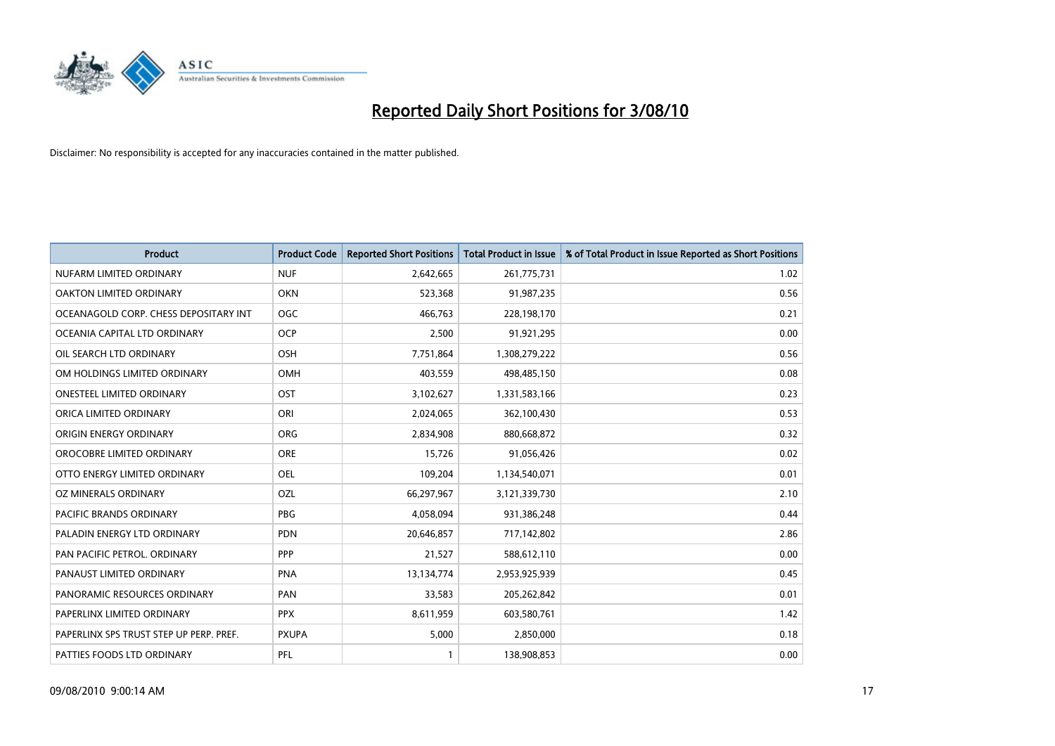

| <b>Product</b>                          | <b>Product Code</b> | <b>Reported Short Positions</b> | Total Product in Issue | % of Total Product in Issue Reported as Short Positions |
|-----------------------------------------|---------------------|---------------------------------|------------------------|---------------------------------------------------------|
| NUFARM LIMITED ORDINARY                 | <b>NUF</b>          | 2,642,665                       | 261,775,731            | 1.02                                                    |
| OAKTON LIMITED ORDINARY                 | <b>OKN</b>          | 523,368                         | 91,987,235             | 0.56                                                    |
| OCEANAGOLD CORP. CHESS DEPOSITARY INT   | <b>OGC</b>          | 466,763                         | 228,198,170            | 0.21                                                    |
| OCEANIA CAPITAL LTD ORDINARY            | OCP                 | 2,500                           | 91,921,295             | 0.00                                                    |
| OIL SEARCH LTD ORDINARY                 | OSH                 | 7,751,864                       | 1,308,279,222          | 0.56                                                    |
| OM HOLDINGS LIMITED ORDINARY            | OMH                 | 403,559                         | 498,485,150            | 0.08                                                    |
| <b>ONESTEEL LIMITED ORDINARY</b>        | OST                 | 3,102,627                       | 1,331,583,166          | 0.23                                                    |
| ORICA LIMITED ORDINARY                  | ORI                 | 2,024,065                       | 362,100,430            | 0.53                                                    |
| ORIGIN ENERGY ORDINARY                  | <b>ORG</b>          | 2,834,908                       | 880,668,872            | 0.32                                                    |
| OROCOBRE LIMITED ORDINARY               | <b>ORE</b>          | 15,726                          | 91,056,426             | 0.02                                                    |
| OTTO ENERGY LIMITED ORDINARY            | <b>OEL</b>          | 109,204                         | 1,134,540,071          | 0.01                                                    |
| OZ MINERALS ORDINARY                    | OZL                 | 66,297,967                      | 3,121,339,730          | 2.10                                                    |
| <b>PACIFIC BRANDS ORDINARY</b>          | <b>PBG</b>          | 4,058,094                       | 931,386,248            | 0.44                                                    |
| PALADIN ENERGY LTD ORDINARY             | <b>PDN</b>          | 20,646,857                      | 717,142,802            | 2.86                                                    |
| PAN PACIFIC PETROL. ORDINARY            | PPP                 | 21,527                          | 588,612,110            | 0.00                                                    |
| PANAUST LIMITED ORDINARY                | <b>PNA</b>          | 13,134,774                      | 2,953,925,939          | 0.45                                                    |
| PANORAMIC RESOURCES ORDINARY            | PAN                 | 33,583                          | 205,262,842            | 0.01                                                    |
| PAPERLINX LIMITED ORDINARY              | <b>PPX</b>          | 8,611,959                       | 603,580,761            | 1.42                                                    |
| PAPERLINX SPS TRUST STEP UP PERP. PREF. | <b>PXUPA</b>        | 5,000                           | 2,850,000              | 0.18                                                    |
| PATTIES FOODS LTD ORDINARY              | PFL                 |                                 | 138,908,853            | 0.00                                                    |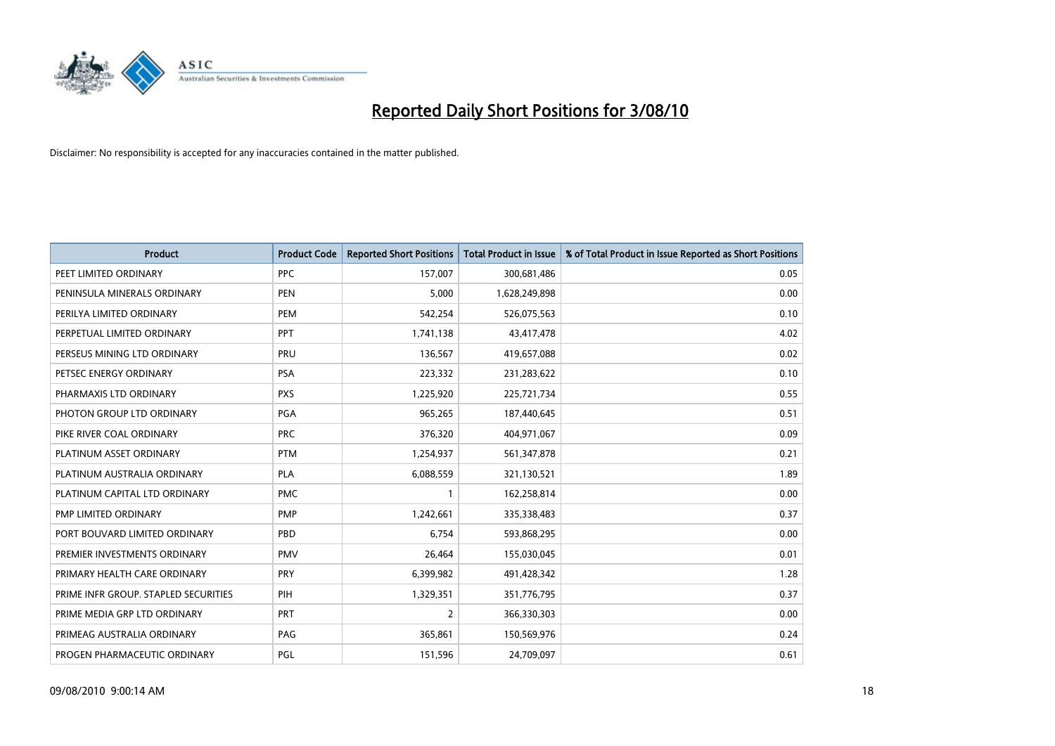

| <b>Product</b>                       | <b>Product Code</b> | <b>Reported Short Positions</b> | <b>Total Product in Issue</b> | % of Total Product in Issue Reported as Short Positions |
|--------------------------------------|---------------------|---------------------------------|-------------------------------|---------------------------------------------------------|
| PEET LIMITED ORDINARY                | <b>PPC</b>          | 157,007                         | 300,681,486                   | 0.05                                                    |
| PENINSULA MINERALS ORDINARY          | <b>PEN</b>          | 5,000                           | 1,628,249,898                 | 0.00                                                    |
| PERILYA LIMITED ORDINARY             | PEM                 | 542,254                         | 526,075,563                   | 0.10                                                    |
| PERPETUAL LIMITED ORDINARY           | PPT                 | 1,741,138                       | 43,417,478                    | 4.02                                                    |
| PERSEUS MINING LTD ORDINARY          | PRU                 | 136,567                         | 419,657,088                   | 0.02                                                    |
| PETSEC ENERGY ORDINARY               | <b>PSA</b>          | 223,332                         | 231,283,622                   | 0.10                                                    |
| PHARMAXIS LTD ORDINARY               | <b>PXS</b>          | 1,225,920                       | 225,721,734                   | 0.55                                                    |
| PHOTON GROUP LTD ORDINARY            | PGA                 | 965,265                         | 187,440,645                   | 0.51                                                    |
| PIKE RIVER COAL ORDINARY             | <b>PRC</b>          | 376,320                         | 404,971,067                   | 0.09                                                    |
| PLATINUM ASSET ORDINARY              | <b>PTM</b>          | 1,254,937                       | 561,347,878                   | 0.21                                                    |
| PLATINUM AUSTRALIA ORDINARY          | <b>PLA</b>          | 6,088,559                       | 321,130,521                   | 1.89                                                    |
| PLATINUM CAPITAL LTD ORDINARY        | <b>PMC</b>          |                                 | 162,258,814                   | 0.00                                                    |
| PMP LIMITED ORDINARY                 | <b>PMP</b>          | 1,242,661                       | 335,338,483                   | 0.37                                                    |
| PORT BOUVARD LIMITED ORDINARY        | PBD                 | 6.754                           | 593,868,295                   | 0.00                                                    |
| PREMIER INVESTMENTS ORDINARY         | <b>PMV</b>          | 26,464                          | 155,030,045                   | 0.01                                                    |
| PRIMARY HEALTH CARE ORDINARY         | PRY                 | 6,399,982                       | 491,428,342                   | 1.28                                                    |
| PRIME INFR GROUP. STAPLED SECURITIES | PIH                 | 1,329,351                       | 351,776,795                   | 0.37                                                    |
| PRIME MEDIA GRP LTD ORDINARY         | <b>PRT</b>          | $\overline{2}$                  | 366,330,303                   | 0.00                                                    |
| PRIMEAG AUSTRALIA ORDINARY           | PAG                 | 365,861                         | 150,569,976                   | 0.24                                                    |
| PROGEN PHARMACEUTIC ORDINARY         | PGL                 | 151,596                         | 24,709,097                    | 0.61                                                    |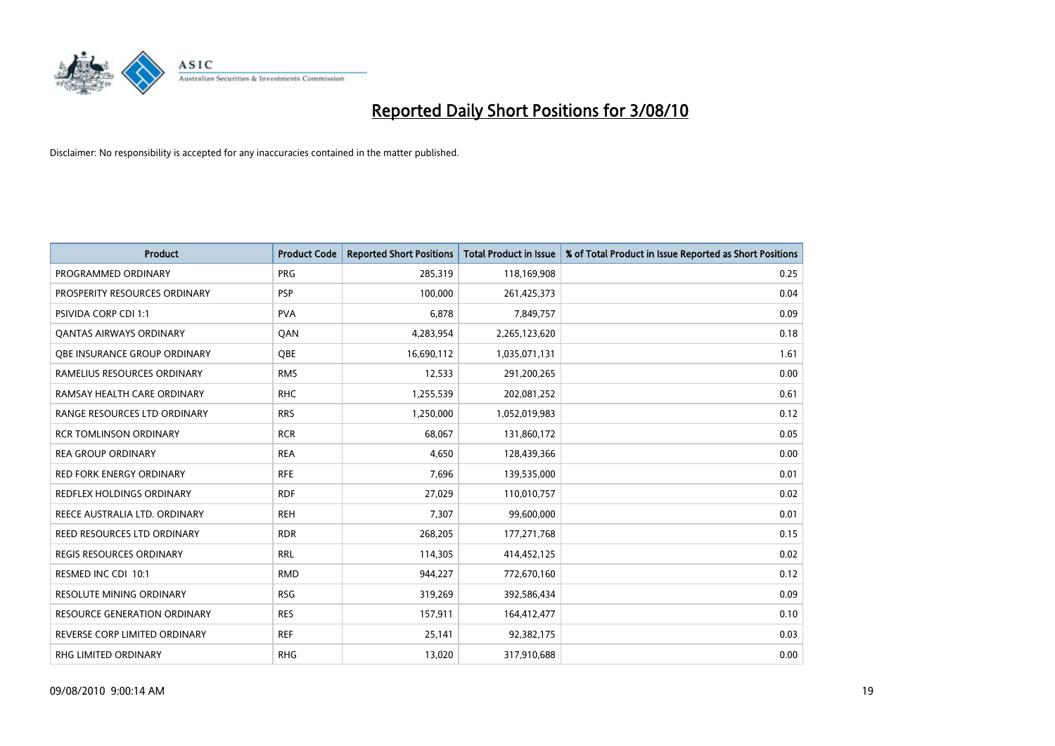

| <b>Product</b>                      | <b>Product Code</b> | <b>Reported Short Positions</b> | <b>Total Product in Issue</b> | % of Total Product in Issue Reported as Short Positions |
|-------------------------------------|---------------------|---------------------------------|-------------------------------|---------------------------------------------------------|
| PROGRAMMED ORDINARY                 | PRG                 | 285,319                         | 118,169,908                   | 0.25                                                    |
| PROSPERITY RESOURCES ORDINARY       | <b>PSP</b>          | 100,000                         | 261,425,373                   | 0.04                                                    |
| <b>PSIVIDA CORP CDI 1:1</b>         | <b>PVA</b>          | 6.878                           | 7,849,757                     | 0.09                                                    |
| <b>QANTAS AIRWAYS ORDINARY</b>      | QAN                 | 4,283,954                       | 2,265,123,620                 | 0.18                                                    |
| OBE INSURANCE GROUP ORDINARY        | <b>OBE</b>          | 16,690,112                      | 1,035,071,131                 | 1.61                                                    |
| RAMELIUS RESOURCES ORDINARY         | <b>RMS</b>          | 12,533                          | 291,200,265                   | 0.00                                                    |
| RAMSAY HEALTH CARE ORDINARY         | <b>RHC</b>          | 1,255,539                       | 202,081,252                   | 0.61                                                    |
| RANGE RESOURCES LTD ORDINARY        | <b>RRS</b>          | 1,250,000                       | 1,052,019,983                 | 0.12                                                    |
| <b>RCR TOMLINSON ORDINARY</b>       | <b>RCR</b>          | 68.067                          | 131,860,172                   | 0.05                                                    |
| <b>REA GROUP ORDINARY</b>           | <b>REA</b>          | 4,650                           | 128,439,366                   | 0.00                                                    |
| RED FORK ENERGY ORDINARY            | <b>RFE</b>          | 7,696                           | 139,535,000                   | 0.01                                                    |
| REDFLEX HOLDINGS ORDINARY           | <b>RDF</b>          | 27,029                          | 110,010,757                   | 0.02                                                    |
| REECE AUSTRALIA LTD. ORDINARY       | <b>REH</b>          | 7,307                           | 99,600,000                    | 0.01                                                    |
| REED RESOURCES LTD ORDINARY         | <b>RDR</b>          | 268,205                         | 177,271,768                   | 0.15                                                    |
| <b>REGIS RESOURCES ORDINARY</b>     | <b>RRL</b>          | 114,305                         | 414,452,125                   | 0.02                                                    |
| RESMED INC CDI 10:1                 | <b>RMD</b>          | 944,227                         | 772,670,160                   | 0.12                                                    |
| RESOLUTE MINING ORDINARY            | <b>RSG</b>          | 319,269                         | 392,586,434                   | 0.09                                                    |
| <b>RESOURCE GENERATION ORDINARY</b> | <b>RES</b>          | 157,911                         | 164,412,477                   | 0.10                                                    |
| REVERSE CORP LIMITED ORDINARY       | <b>REF</b>          | 25,141                          | 92,382,175                    | 0.03                                                    |
| <b>RHG LIMITED ORDINARY</b>         | <b>RHG</b>          | 13,020                          | 317,910,688                   | 0.00                                                    |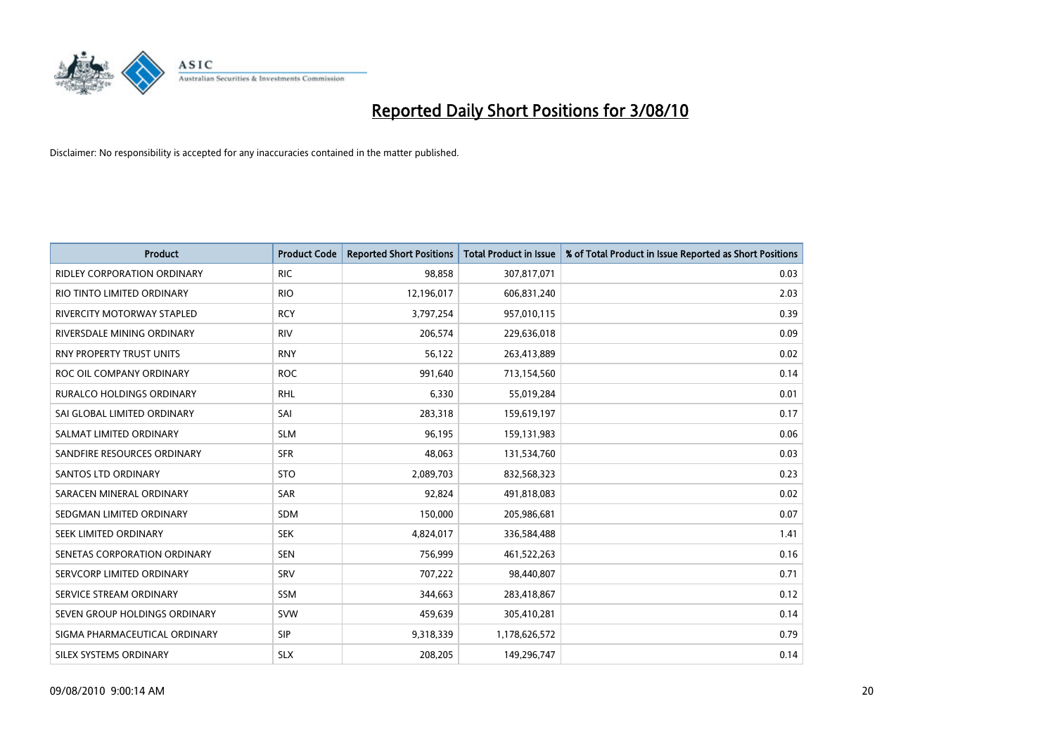

| <b>Product</b>                     | <b>Product Code</b> | <b>Reported Short Positions</b> | <b>Total Product in Issue</b> | % of Total Product in Issue Reported as Short Positions |
|------------------------------------|---------------------|---------------------------------|-------------------------------|---------------------------------------------------------|
| <b>RIDLEY CORPORATION ORDINARY</b> | <b>RIC</b>          | 98.858                          | 307,817,071                   | 0.03                                                    |
| RIO TINTO LIMITED ORDINARY         | <b>RIO</b>          | 12,196,017                      | 606,831,240                   | 2.03                                                    |
| RIVERCITY MOTORWAY STAPLED         | <b>RCY</b>          | 3,797,254                       | 957,010,115                   | 0.39                                                    |
| RIVERSDALE MINING ORDINARY         | <b>RIV</b>          | 206,574                         | 229,636,018                   | 0.09                                                    |
| <b>RNY PROPERTY TRUST UNITS</b>    | <b>RNY</b>          | 56,122                          | 263,413,889                   | 0.02                                                    |
| ROC OIL COMPANY ORDINARY           | <b>ROC</b>          | 991,640                         | 713,154,560                   | 0.14                                                    |
| RURALCO HOLDINGS ORDINARY          | <b>RHL</b>          | 6,330                           | 55,019,284                    | 0.01                                                    |
| SAI GLOBAL LIMITED ORDINARY        | SAI                 | 283,318                         | 159,619,197                   | 0.17                                                    |
| SALMAT LIMITED ORDINARY            | <b>SLM</b>          | 96,195                          | 159,131,983                   | 0.06                                                    |
| SANDFIRE RESOURCES ORDINARY        | <b>SFR</b>          | 48.063                          | 131,534,760                   | 0.03                                                    |
| SANTOS LTD ORDINARY                | <b>STO</b>          | 2,089,703                       | 832,568,323                   | 0.23                                                    |
| SARACEN MINERAL ORDINARY           | <b>SAR</b>          | 92,824                          | 491,818,083                   | 0.02                                                    |
| SEDGMAN LIMITED ORDINARY           | <b>SDM</b>          | 150,000                         | 205,986,681                   | 0.07                                                    |
| SEEK LIMITED ORDINARY              | <b>SEK</b>          | 4,824,017                       | 336,584,488                   | 1.41                                                    |
| SENETAS CORPORATION ORDINARY       | <b>SEN</b>          | 756,999                         | 461,522,263                   | 0.16                                                    |
| SERVCORP LIMITED ORDINARY          | SRV                 | 707,222                         | 98,440,807                    | 0.71                                                    |
| SERVICE STREAM ORDINARY            | <b>SSM</b>          | 344,663                         | 283,418,867                   | 0.12                                                    |
| SEVEN GROUP HOLDINGS ORDINARY      | <b>SVW</b>          | 459,639                         | 305,410,281                   | 0.14                                                    |
| SIGMA PHARMACEUTICAL ORDINARY      | <b>SIP</b>          | 9,318,339                       | 1,178,626,572                 | 0.79                                                    |
| SILEX SYSTEMS ORDINARY             | <b>SLX</b>          | 208,205                         | 149,296,747                   | 0.14                                                    |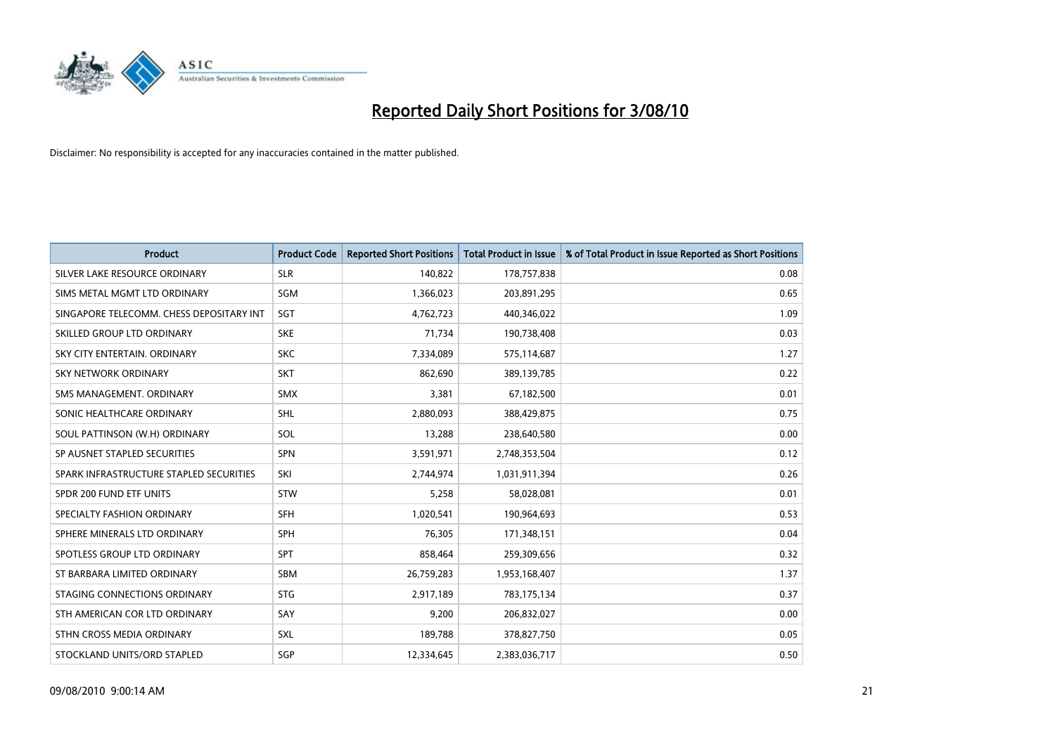

| <b>Product</b>                           | <b>Product Code</b> | <b>Reported Short Positions</b> | <b>Total Product in Issue</b> | % of Total Product in Issue Reported as Short Positions |
|------------------------------------------|---------------------|---------------------------------|-------------------------------|---------------------------------------------------------|
| SILVER LAKE RESOURCE ORDINARY            | <b>SLR</b>          | 140,822                         | 178,757,838                   | 0.08                                                    |
| SIMS METAL MGMT LTD ORDINARY             | SGM                 | 1,366,023                       | 203,891,295                   | 0.65                                                    |
| SINGAPORE TELECOMM. CHESS DEPOSITARY INT | SGT                 | 4,762,723                       | 440,346,022                   | 1.09                                                    |
| SKILLED GROUP LTD ORDINARY               | <b>SKE</b>          | 71,734                          | 190,738,408                   | 0.03                                                    |
| SKY CITY ENTERTAIN, ORDINARY             | <b>SKC</b>          | 7,334,089                       | 575,114,687                   | 1.27                                                    |
| <b>SKY NETWORK ORDINARY</b>              | <b>SKT</b>          | 862,690                         | 389,139,785                   | 0.22                                                    |
| SMS MANAGEMENT, ORDINARY                 | <b>SMX</b>          | 3,381                           | 67,182,500                    | 0.01                                                    |
| SONIC HEALTHCARE ORDINARY                | <b>SHL</b>          | 2,880,093                       | 388,429,875                   | 0.75                                                    |
| SOUL PATTINSON (W.H) ORDINARY            | SOL                 | 13,288                          | 238,640,580                   | 0.00                                                    |
| SP AUSNET STAPLED SECURITIES             | <b>SPN</b>          | 3,591,971                       | 2,748,353,504                 | 0.12                                                    |
| SPARK INFRASTRUCTURE STAPLED SECURITIES  | SKI                 | 2,744,974                       | 1,031,911,394                 | 0.26                                                    |
| SPDR 200 FUND ETF UNITS                  | <b>STW</b>          | 5,258                           | 58,028,081                    | 0.01                                                    |
| SPECIALTY FASHION ORDINARY               | SFH                 | 1,020,541                       | 190,964,693                   | 0.53                                                    |
| SPHERE MINERALS LTD ORDINARY             | <b>SPH</b>          | 76.305                          | 171,348,151                   | 0.04                                                    |
| SPOTLESS GROUP LTD ORDINARY              | SPT                 | 858,464                         | 259,309,656                   | 0.32                                                    |
| ST BARBARA LIMITED ORDINARY              | <b>SBM</b>          | 26,759,283                      | 1,953,168,407                 | 1.37                                                    |
| STAGING CONNECTIONS ORDINARY             | <b>STG</b>          | 2,917,189                       | 783,175,134                   | 0.37                                                    |
| STH AMERICAN COR LTD ORDINARY            | SAY                 | 9,200                           | 206,832,027                   | 0.00                                                    |
| STHN CROSS MEDIA ORDINARY                | SXL                 | 189,788                         | 378,827,750                   | 0.05                                                    |
| STOCKLAND UNITS/ORD STAPLED              | SGP                 | 12,334,645                      | 2,383,036,717                 | 0.50                                                    |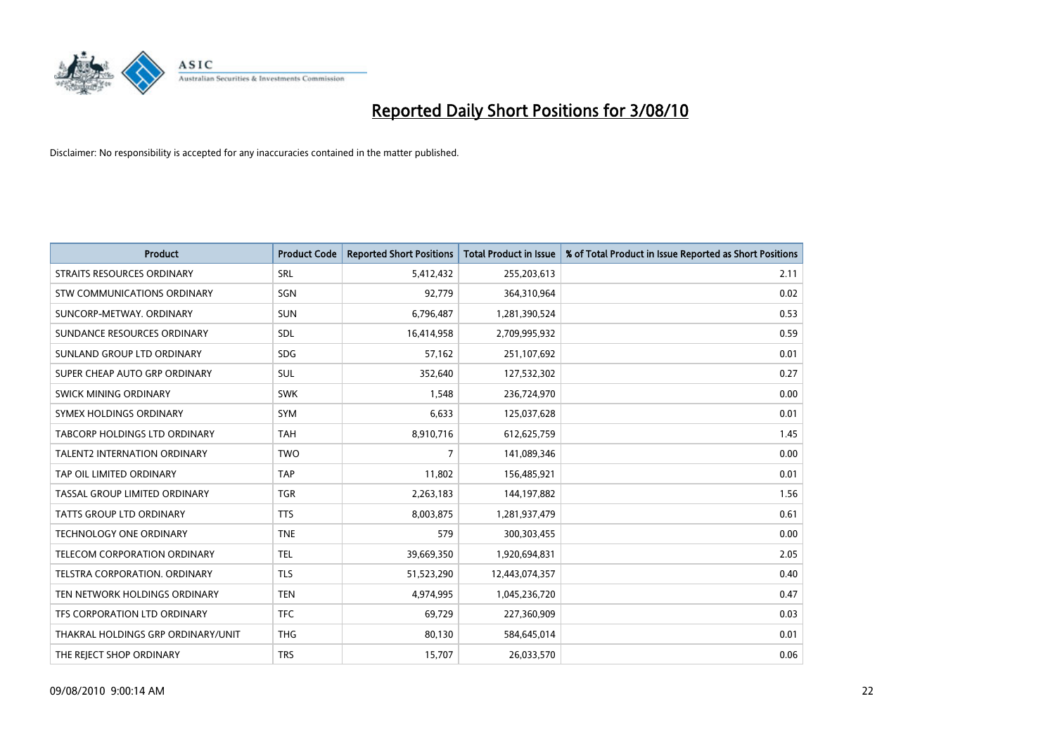

| <b>Product</b>                      | <b>Product Code</b> | <b>Reported Short Positions</b> | <b>Total Product in Issue</b> | % of Total Product in Issue Reported as Short Positions |
|-------------------------------------|---------------------|---------------------------------|-------------------------------|---------------------------------------------------------|
| STRAITS RESOURCES ORDINARY          | <b>SRL</b>          | 5,412,432                       | 255,203,613                   | 2.11                                                    |
| STW COMMUNICATIONS ORDINARY         | SGN                 | 92,779                          | 364,310,964                   | 0.02                                                    |
| SUNCORP-METWAY, ORDINARY            | <b>SUN</b>          | 6,796,487                       | 1,281,390,524                 | 0.53                                                    |
| SUNDANCE RESOURCES ORDINARY         | <b>SDL</b>          | 16,414,958                      | 2,709,995,932                 | 0.59                                                    |
| SUNLAND GROUP LTD ORDINARY          | <b>SDG</b>          | 57,162                          | 251,107,692                   | 0.01                                                    |
| SUPER CHEAP AUTO GRP ORDINARY       | <b>SUL</b>          | 352,640                         | 127,532,302                   | 0.27                                                    |
| SWICK MINING ORDINARY               | <b>SWK</b>          | 1,548                           | 236,724,970                   | 0.00                                                    |
| SYMEX HOLDINGS ORDINARY             | <b>SYM</b>          | 6,633                           | 125,037,628                   | 0.01                                                    |
| TABCORP HOLDINGS LTD ORDINARY       | <b>TAH</b>          | 8,910,716                       | 612,625,759                   | 1.45                                                    |
| <b>TALENT2 INTERNATION ORDINARY</b> | <b>TWO</b>          | $\overline{7}$                  | 141,089,346                   | 0.00                                                    |
| TAP OIL LIMITED ORDINARY            | <b>TAP</b>          | 11,802                          | 156,485,921                   | 0.01                                                    |
| TASSAL GROUP LIMITED ORDINARY       | <b>TGR</b>          | 2,263,183                       | 144,197,882                   | 1.56                                                    |
| TATTS GROUP LTD ORDINARY            | <b>TTS</b>          | 8,003,875                       | 1,281,937,479                 | 0.61                                                    |
| <b>TECHNOLOGY ONE ORDINARY</b>      | <b>TNE</b>          | 579                             | 300,303,455                   | 0.00                                                    |
| TELECOM CORPORATION ORDINARY        | <b>TEL</b>          | 39,669,350                      | 1,920,694,831                 | 2.05                                                    |
| TELSTRA CORPORATION. ORDINARY       | <b>TLS</b>          | 51,523,290                      | 12,443,074,357                | 0.40                                                    |
| TEN NETWORK HOLDINGS ORDINARY       | <b>TEN</b>          | 4,974,995                       | 1,045,236,720                 | 0.47                                                    |
| TFS CORPORATION LTD ORDINARY        | <b>TFC</b>          | 69,729                          | 227,360,909                   | 0.03                                                    |
| THAKRAL HOLDINGS GRP ORDINARY/UNIT  | <b>THG</b>          | 80,130                          | 584,645,014                   | 0.01                                                    |
| THE REJECT SHOP ORDINARY            | <b>TRS</b>          | 15,707                          | 26,033,570                    | 0.06                                                    |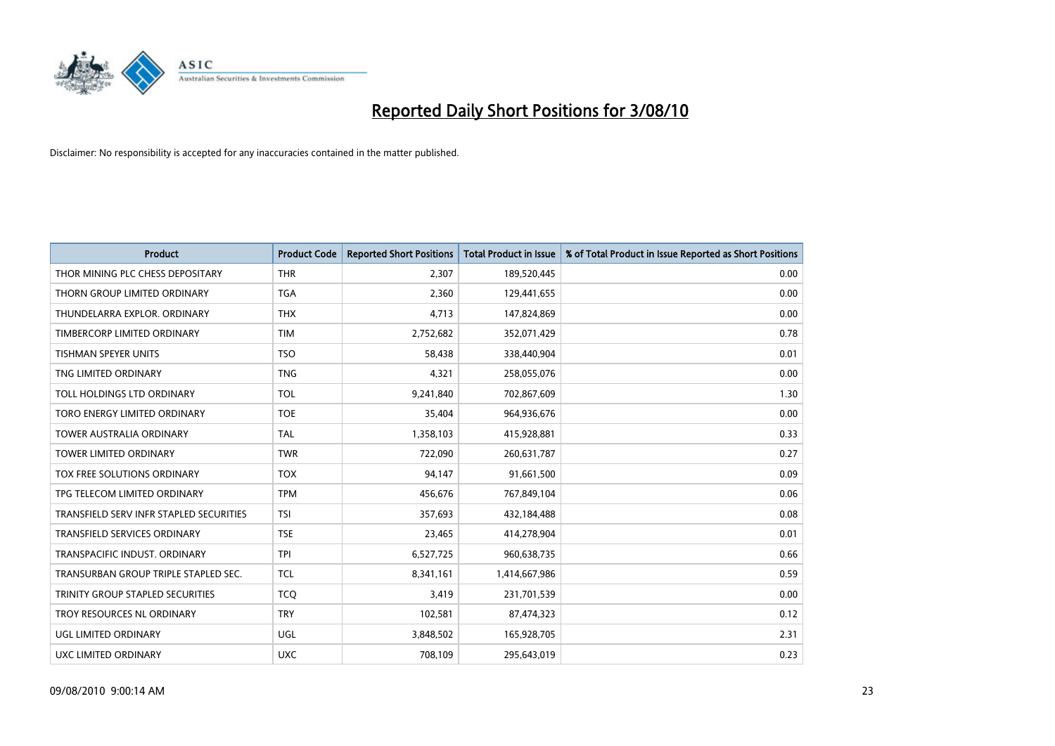

| <b>Product</b>                          | <b>Product Code</b> | <b>Reported Short Positions</b> | <b>Total Product in Issue</b> | % of Total Product in Issue Reported as Short Positions |
|-----------------------------------------|---------------------|---------------------------------|-------------------------------|---------------------------------------------------------|
| THOR MINING PLC CHESS DEPOSITARY        | <b>THR</b>          | 2.307                           | 189,520,445                   | 0.00                                                    |
| THORN GROUP LIMITED ORDINARY            | <b>TGA</b>          | 2,360                           | 129,441,655                   | 0.00                                                    |
| THUNDELARRA EXPLOR, ORDINARY            | <b>THX</b>          | 4,713                           | 147,824,869                   | 0.00                                                    |
| TIMBERCORP LIMITED ORDINARY             | <b>TIM</b>          | 2,752,682                       | 352,071,429                   | 0.78                                                    |
| <b>TISHMAN SPEYER UNITS</b>             | <b>TSO</b>          | 58,438                          | 338,440,904                   | 0.01                                                    |
| TNG LIMITED ORDINARY                    | <b>TNG</b>          | 4,321                           | 258,055,076                   | 0.00                                                    |
| TOLL HOLDINGS LTD ORDINARY              | <b>TOL</b>          | 9,241,840                       | 702,867,609                   | 1.30                                                    |
| TORO ENERGY LIMITED ORDINARY            | <b>TOE</b>          | 35,404                          | 964,936,676                   | 0.00                                                    |
| <b>TOWER AUSTRALIA ORDINARY</b>         | <b>TAL</b>          | 1,358,103                       | 415,928,881                   | 0.33                                                    |
| <b>TOWER LIMITED ORDINARY</b>           | <b>TWR</b>          | 722,090                         | 260,631,787                   | 0.27                                                    |
| <b>TOX FREE SOLUTIONS ORDINARY</b>      | <b>TOX</b>          | 94,147                          | 91,661,500                    | 0.09                                                    |
| TPG TELECOM LIMITED ORDINARY            | <b>TPM</b>          | 456,676                         | 767,849,104                   | 0.06                                                    |
| TRANSFIELD SERV INFR STAPLED SECURITIES | <b>TSI</b>          | 357,693                         | 432,184,488                   | 0.08                                                    |
| <b>TRANSFIELD SERVICES ORDINARY</b>     | <b>TSE</b>          | 23,465                          | 414,278,904                   | 0.01                                                    |
| TRANSPACIFIC INDUST, ORDINARY           | <b>TPI</b>          | 6,527,725                       | 960,638,735                   | 0.66                                                    |
| TRANSURBAN GROUP TRIPLE STAPLED SEC.    | <b>TCL</b>          | 8,341,161                       | 1,414,667,986                 | 0.59                                                    |
| TRINITY GROUP STAPLED SECURITIES        | <b>TCO</b>          | 3,419                           | 231,701,539                   | 0.00                                                    |
| TROY RESOURCES NL ORDINARY              | <b>TRY</b>          | 102,581                         | 87,474,323                    | 0.12                                                    |
| <b>UGL LIMITED ORDINARY</b>             | <b>UGL</b>          | 3,848,502                       | 165,928,705                   | 2.31                                                    |
| UXC LIMITED ORDINARY                    | <b>UXC</b>          | 708.109                         | 295,643,019                   | 0.23                                                    |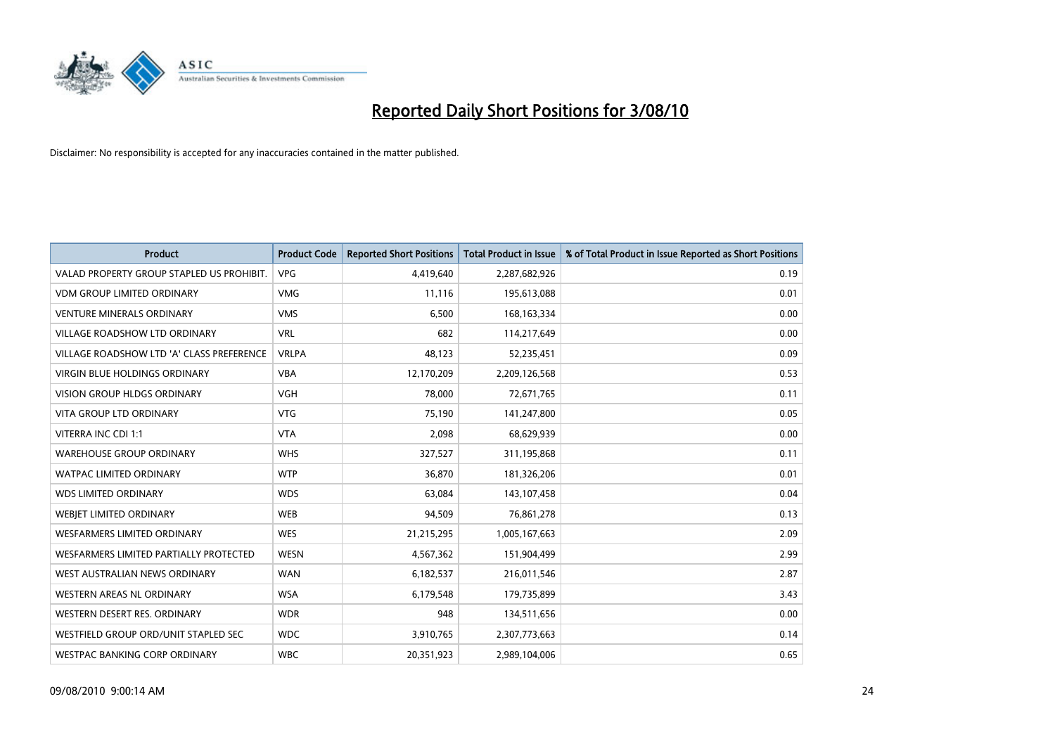

| <b>Product</b>                            | <b>Product Code</b> | <b>Reported Short Positions</b> | <b>Total Product in Issue</b> | % of Total Product in Issue Reported as Short Positions |
|-------------------------------------------|---------------------|---------------------------------|-------------------------------|---------------------------------------------------------|
| VALAD PROPERTY GROUP STAPLED US PROHIBIT. | <b>VPG</b>          | 4,419,640                       | 2,287,682,926                 | 0.19                                                    |
| <b>VDM GROUP LIMITED ORDINARY</b>         | <b>VMG</b>          | 11,116                          | 195,613,088                   | 0.01                                                    |
| <b>VENTURE MINERALS ORDINARY</b>          | <b>VMS</b>          | 6,500                           | 168, 163, 334                 | 0.00                                                    |
| <b>VILLAGE ROADSHOW LTD ORDINARY</b>      | <b>VRL</b>          | 682                             | 114,217,649                   | 0.00                                                    |
| VILLAGE ROADSHOW LTD 'A' CLASS PREFERENCE | <b>VRLPA</b>        | 48,123                          | 52,235,451                    | 0.09                                                    |
| <b>VIRGIN BLUE HOLDINGS ORDINARY</b>      | <b>VBA</b>          | 12,170,209                      | 2,209,126,568                 | 0.53                                                    |
| <b>VISION GROUP HLDGS ORDINARY</b>        | <b>VGH</b>          | 78,000                          | 72,671,765                    | 0.11                                                    |
| VITA GROUP LTD ORDINARY                   | <b>VTG</b>          | 75,190                          | 141,247,800                   | 0.05                                                    |
| VITERRA INC CDI 1:1                       | <b>VTA</b>          | 2,098                           | 68,629,939                    | 0.00                                                    |
| <b>WAREHOUSE GROUP ORDINARY</b>           | <b>WHS</b>          | 327,527                         | 311,195,868                   | 0.11                                                    |
| <b>WATPAC LIMITED ORDINARY</b>            | <b>WTP</b>          | 36,870                          | 181,326,206                   | 0.01                                                    |
| <b>WDS LIMITED ORDINARY</b>               | <b>WDS</b>          | 63,084                          | 143,107,458                   | 0.04                                                    |
| WEBJET LIMITED ORDINARY                   | <b>WEB</b>          | 94,509                          | 76,861,278                    | 0.13                                                    |
| <b>WESFARMERS LIMITED ORDINARY</b>        | <b>WES</b>          | 21,215,295                      | 1,005,167,663                 | 2.09                                                    |
| WESFARMERS LIMITED PARTIALLY PROTECTED    | <b>WESN</b>         | 4,567,362                       | 151,904,499                   | 2.99                                                    |
| WEST AUSTRALIAN NEWS ORDINARY             | <b>WAN</b>          | 6,182,537                       | 216,011,546                   | 2.87                                                    |
| WESTERN AREAS NL ORDINARY                 | <b>WSA</b>          | 6,179,548                       | 179,735,899                   | 3.43                                                    |
| WESTERN DESERT RES. ORDINARY              | <b>WDR</b>          | 948                             | 134,511,656                   | 0.00                                                    |
| WESTFIELD GROUP ORD/UNIT STAPLED SEC      | <b>WDC</b>          | 3,910,765                       | 2,307,773,663                 | 0.14                                                    |
| WESTPAC BANKING CORP ORDINARY             | <b>WBC</b>          | 20,351,923                      | 2,989,104,006                 | 0.65                                                    |